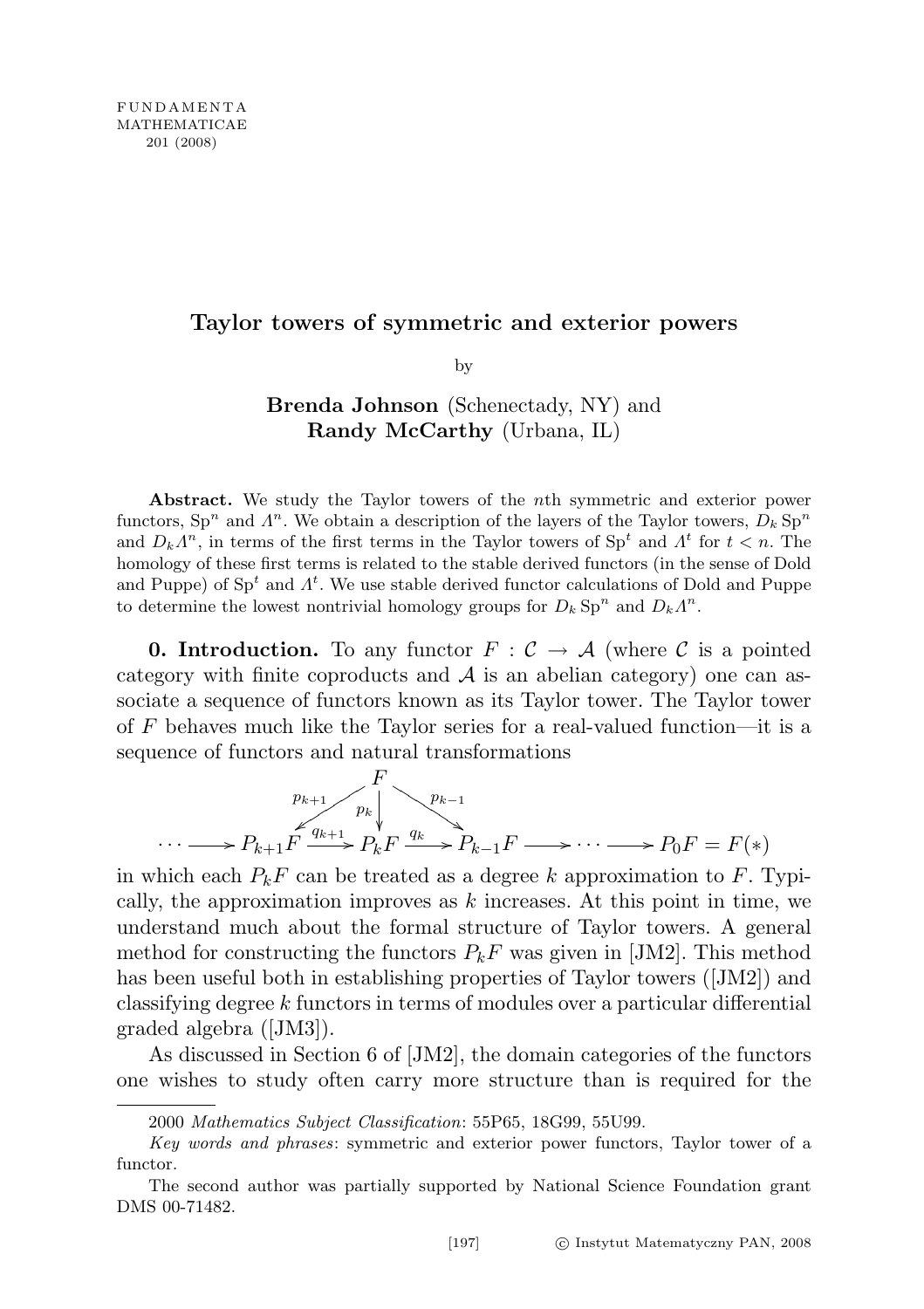## Taylor towers of symmetric and exterior powers

by

## Brenda Johnson (Schenectady, NY) and Randy McCarthy (Urbana, IL)

Abstract. We study the Taylor towers of the nth symmetric and exterior power functors,  $\text{Sp}^n$  and  $\Lambda^n$ . We obtain a description of the layers of the Taylor towers,  $D_k$  Sp<sup>n</sup> and  $D_k \Lambda^n$ , in terms of the first terms in the Taylor towers of  $\text{Sp}^t$  and  $\Lambda^t$  for  $t < n$ . The homology of these first terms is related to the stable derived functors (in the sense of Dold and Puppe) of  $\text{Sp}^t$  and  $\Lambda^t$ . We use stable derived functor calculations of Dold and Puppe to determine the lowest nontrivial homology groups for  $D_k$  Sp<sup>n</sup> and  $D_k \Lambda^n$ .

**0. Introduction.** To any functor  $F : \mathcal{C} \to \mathcal{A}$  (where  $\mathcal{C}$  is a pointed category with finite coproducts and  $A$  is an abelian category) one can associate a sequence of functors known as its Taylor tower. The Taylor tower of  $F$  behaves much like the Taylor series for a real-valued function—it is a sequence of functors and natural transformations

$$
\cdots \longrightarrow P_{k+1} F \xrightarrow{p_{k+1}} P_k F \xrightarrow{q_{k-1}} P_{k-1} F \longrightarrow \cdots \longrightarrow P_0 F = F(*)
$$

in which each  $P_kF$  can be treated as a degree k approximation to F. Typically, the approximation improves as  $k$  increases. At this point in time, we understand much about the formal structure of Taylor towers. A general method for constructing the functors  $P_kF$  was given in [JM2]. This method has been useful both in establishing properties of Taylor towers ([JM2]) and classifying degree k functors in terms of modules over a particular differential graded algebra ([JM3]).

As discussed in Section 6 of [JM2], the domain categories of the functors one wishes to study often carry more structure than is required for the

<sup>2000</sup> Mathematics Subject Classification: 55P65, 18G99, 55U99.

Key words and phrases: symmetric and exterior power functors, Taylor tower of a functor.

The second author was partially supported by National Science Foundation grant DMS 00-71482.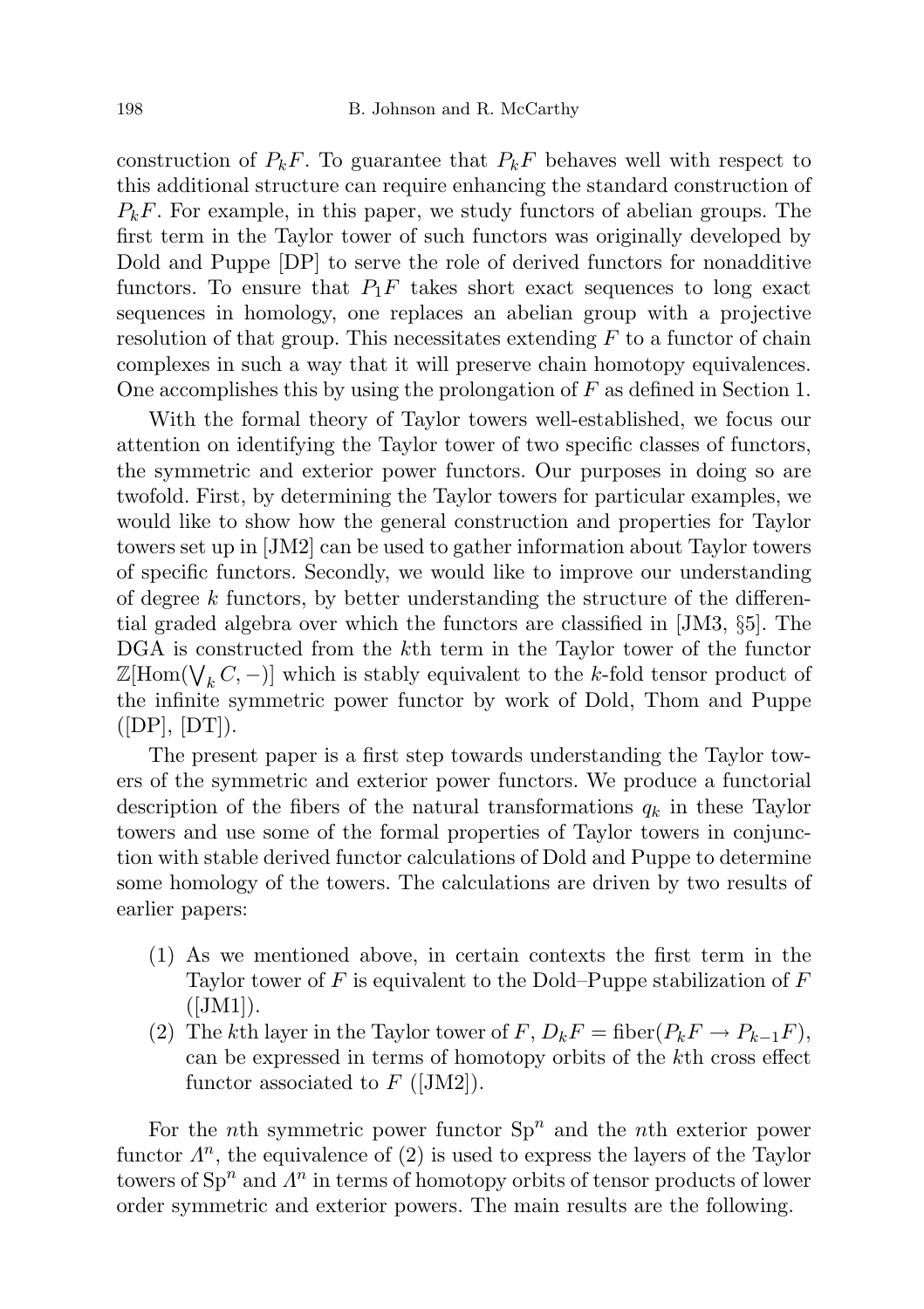construction of  $P_kF$ . To guarantee that  $P_kF$  behaves well with respect to this additional structure can require enhancing the standard construction of  $P_kF$ . For example, in this paper, we study functors of abelian groups. The first term in the Taylor tower of such functors was originally developed by Dold and Puppe [DP] to serve the role of derived functors for nonadditive functors. To ensure that  $P_1F$  takes short exact sequences to long exact sequences in homology, one replaces an abelian group with a projective resolution of that group. This necessitates extending  $F$  to a functor of chain complexes in such a way that it will preserve chain homotopy equivalences. One accomplishes this by using the prolongation of  $F$  as defined in Section 1.

With the formal theory of Taylor towers well-established, we focus our attention on identifying the Taylor tower of two specific classes of functors, the symmetric and exterior power functors. Our purposes in doing so are twofold. First, by determining the Taylor towers for particular examples, we would like to show how the general construction and properties for Taylor towers set up in [JM2] can be used to gather information about Taylor towers of specific functors. Secondly, we would like to improve our understanding of degree  $k$  functors, by better understanding the structure of the differential graded algebra over which the functors are classified in [JM3, §5]. The DGA is constructed from the kth term in the Taylor tower of the functor  $\mathbb{Z}[\mathrm{Hom}(\bigvee_k C,-)]$  which is stably equivalent to the k-fold tensor product of the infinite symmetric power functor by work of Dold, Thom and Puppe  $([DP], [DT]).$ 

The present paper is a first step towards understanding the Taylor towers of the symmetric and exterior power functors. We produce a functorial description of the fibers of the natural transformations  $q_k$  in these Taylor towers and use some of the formal properties of Taylor towers in conjunction with stable derived functor calculations of Dold and Puppe to determine some homology of the towers. The calculations are driven by two results of earlier papers:

- (1) As we mentioned above, in certain contexts the first term in the Taylor tower of  $F$  is equivalent to the Dold–Puppe stabilization of  $F$  $([JM1]).$
- (2) The kth layer in the Taylor tower of  $F, D_k F = \text{fiber}(P_k F \to P_{k-1} F)$ , can be expressed in terms of homotopy orbits of the kth cross effect functor associated to  $F$  ([JM2]).

For the *n*th symmetric power functor  $Sp<sup>n</sup>$  and the *n*th exterior power functor  $\Lambda^n$ , the equivalence of (2) is used to express the layers of the Taylor towers of  $\text{Sp}^n$  and  $\Lambda^n$  in terms of homotopy orbits of tensor products of lower order symmetric and exterior powers. The main results are the following.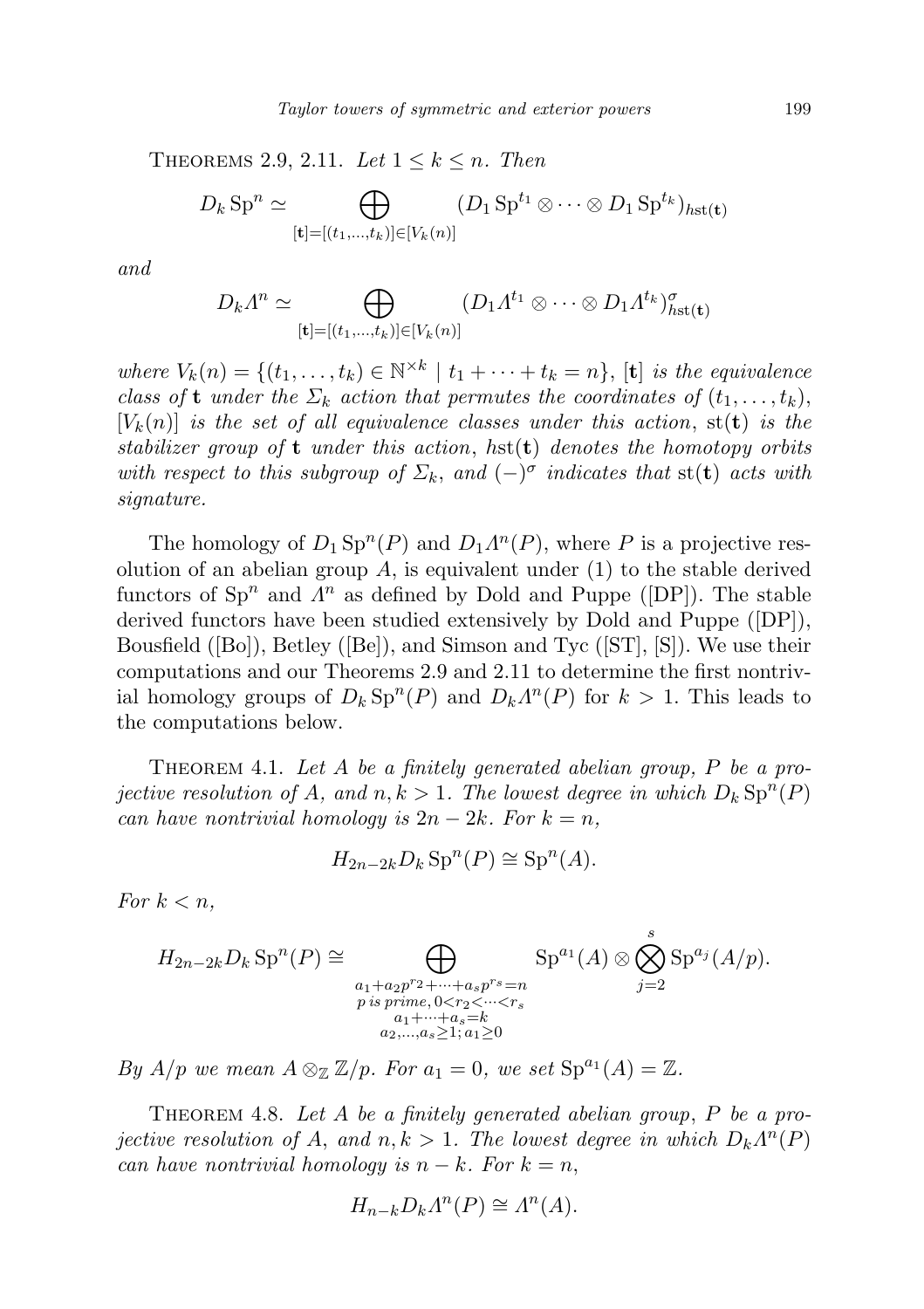THEOREMS 2.9, 2.11. Let  $1 \leq k \leq n$ . Then

$$
D_k \text{Sp}^n \simeq \bigoplus_{[\mathbf{t}] = [(t_1, \ldots, t_k)] \in [V_k(n)]} (D_1 \text{Sp}^{t_1} \otimes \cdots \otimes D_1 \text{Sp}^{t_k})_{h \text{st}(\mathbf{t})}
$$

and

$$
D_k \Lambda^n \simeq \bigoplus_{[\mathbf{t}] = [(t_1, \ldots, t_k)] \in [V_k(n)]} (D_1 \Lambda^{t_1} \otimes \cdots \otimes D_1 \Lambda^{t_k})^{\sigma}_{h^{\mathbf{st}}(\mathbf{t})}
$$

where  $V_k(n) = \{(t_1, \ldots, t_k) \in \mathbb{N}^{\times k} \mid t_1 + \cdots + t_k = n\}, [\mathbf{t}]$  is the equivalence class of **t** under the  $\Sigma_k$  action that permutes the coordinates of  $(t_1, \ldots, t_k)$ ,  $[V_k(n)]$  is the set of all equivalence classes under this action, st(t) is the stabilizer group of  $t$  under this action, hst $(t)$  denotes the homotopy orbits with respect to this subgroup of  $\Sigma_k$ , and  $(-)^{\sigma}$  indicates that st(t) acts with signature.

The homology of  $D_1 \text{Sp}^n(P)$  and  $D_1 \Lambda^n(P)$ , where P is a projective resolution of an abelian group  $A$ , is equivalent under  $(1)$  to the stable derived functors of  $\text{Sp}^n$  and  $\Lambda^n$  as defined by Dold and Puppe ([DP]). The stable derived functors have been studied extensively by Dold and Puppe ([DP]), Bousfield ( $[Bo]$ ), Betley ( $[Be]$ ), and Simson and Tyc ( $[ST]$ ,  $[S]$ ). We use their computations and our Theorems 2.9 and 2.11 to determine the first nontrivial homology groups of  $D_k \text{Sp}^n(P)$  and  $D_k \Lambda^n(P)$  for  $k > 1$ . This leads to the computations below.

THEOREM 4.1. Let A be a finitely generated abelian group,  $P$  be a projective resolution of A, and  $n, k > 1$ . The lowest degree in which  $D_k \text{Sp}^n(P)$ can have nontrivial homology is  $2n - 2k$ . For  $k = n$ ,

$$
H_{2n-2k}D_k \operatorname{Sp}^n(P) \cong \operatorname{Sp}^n(A).
$$

For  $k < n$ ,

$$
H_{2n-2k}D_k \operatorname{Sp}^n(P) \cong \bigoplus_{\substack{a_1+a_2p^r2+\cdots+a_sp^{rs}=n\\p \text{ is prime}, 0 < r_2 < \cdots < r_s\\a_1+\cdots+a_s=k\\a_2,\ldots,a_s \ge 1; a_1 \ge 0}} \operatorname{Sp}^{a_1}(A) \otimes \bigotimes_{j=2}^s \operatorname{Sp}^{a_j}(A/p).
$$

By  $A/p$  we mean  $A \otimes_{\mathbb{Z}} \mathbb{Z}/p$ . For  $a_1 = 0$ , we set  $\text{Sp}^{a_1}(A) = \mathbb{Z}$ .

THEOREM 4.8. Let A be a finitely generated abelian group,  $P$  be a projective resolution of A, and  $n, k > 1$ . The lowest degree in which  $D_k \Lambda^n(P)$ can have nontrivial homology is  $n - k$ . For  $k = n$ ,

$$
H_{n-k}D_k\Lambda^n(P) \cong \Lambda^n(A).
$$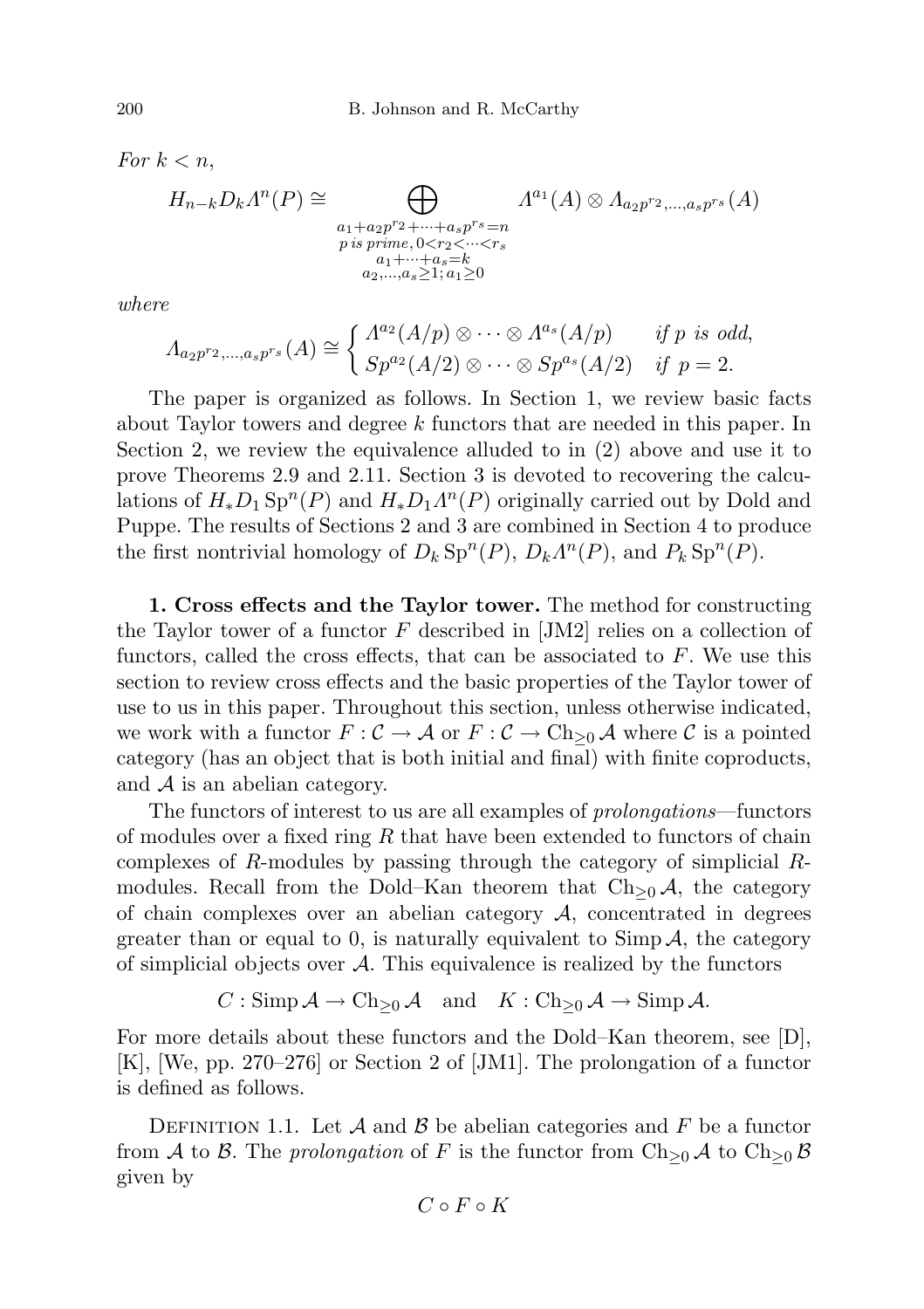$$
H_{n-k}D_k\Lambda^n(P) \cong \bigoplus_{\substack{a_1+a_2p^r2+\cdots+a_sp^{rs}=n\\p \text{ is prime}, 0 < r_2 < \cdots < r_s\\a_1+\cdots+a_s=k\\a_2,\ldots,a_s \ge 1; a_1 \ge 0}} \Lambda^{a_1}(A) \otimes \Lambda_{a_2p^r2,\ldots,a_sp^{rs}}(A)
$$

where

$$
\Lambda_{a_2p^{r_2},...,a_sp^{r_s}}(A) \cong \begin{cases} \Lambda^{a_2}(A/p) \otimes \cdots \otimes \Lambda^{a_s}(A/p) & \text{if } p \text{ is odd,} \\ Sp^{a_2}(A/2) \otimes \cdots \otimes Sp^{a_s}(A/2) & \text{if } p = 2. \end{cases}
$$

The paper is organized as follows. In Section 1, we review basic facts about Taylor towers and degree k functors that are needed in this paper. In Section 2, we review the equivalence alluded to in (2) above and use it to prove Theorems 2.9 and 2.11. Section 3 is devoted to recovering the calculations of  $H_*D_1 \text{Sp}^n(P)$  and  $H_*D_1 \Lambda^n(P)$  originally carried out by Dold and Puppe. The results of Sections 2 and 3 are combined in Section 4 to produce the first nontrivial homology of  $D_k \text{Sp}^n(P)$ ,  $D_k \Lambda^n(P)$ , and  $P_k \text{Sp}^n(P)$ .

1. Cross effects and the Taylor tower. The method for constructing the Taylor tower of a functor  $F$  described in [JM2] relies on a collection of functors, called the cross effects, that can be associated to  $F$ . We use this section to review cross effects and the basic properties of the Taylor tower of use to us in this paper. Throughout this section, unless otherwise indicated, we work with a functor  $F: \mathcal{C} \to \mathcal{A}$  or  $F: \mathcal{C} \to \text{Ch}_{\geq 0} \mathcal{A}$  where  $\mathcal{C}$  is a pointed category (has an object that is both initial and final) with finite coproducts, and  $A$  is an abelian category.

The functors of interest to us are all examples of prolongations—functors of modules over a fixed ring  $R$  that have been extended to functors of chain complexes of R-modules by passing through the category of simplicial Rmodules. Recall from the Dold–Kan theorem that  $Ch_{\geq 0}A$ , the category of chain complexes over an abelian category  $A$ , concentrated in degrees greater than or equal to 0, is naturally equivalent to  $\text{Simp}\,\mathcal{A}$ , the category of simplicial objects over  $\mathcal{A}$ . This equivalence is realized by the functors

 $C : \text{Simp}\,\mathcal{A} \to \text{Ch}_{\geq 0}\,\mathcal{A} \quad \text{and} \quad K : \text{Ch}_{\geq 0}\,\mathcal{A} \to \text{Simp}\,\mathcal{A}.$ 

For more details about these functors and the Dold–Kan theorem, see [D], [K], [We, pp. 270–276] or Section 2 of [JM1]. The prolongation of a functor is defined as follows.

DEFINITION 1.1. Let  $\mathcal A$  and  $\mathcal B$  be abelian categories and  $F$  be a functor from A to B. The prolongation of F is the functor from  $\text{Ch}_{\geq 0}$  A to  $\text{Ch}_{\geq 0}$  B given by

$$
C\circ F\circ K
$$

For  $k < n$ .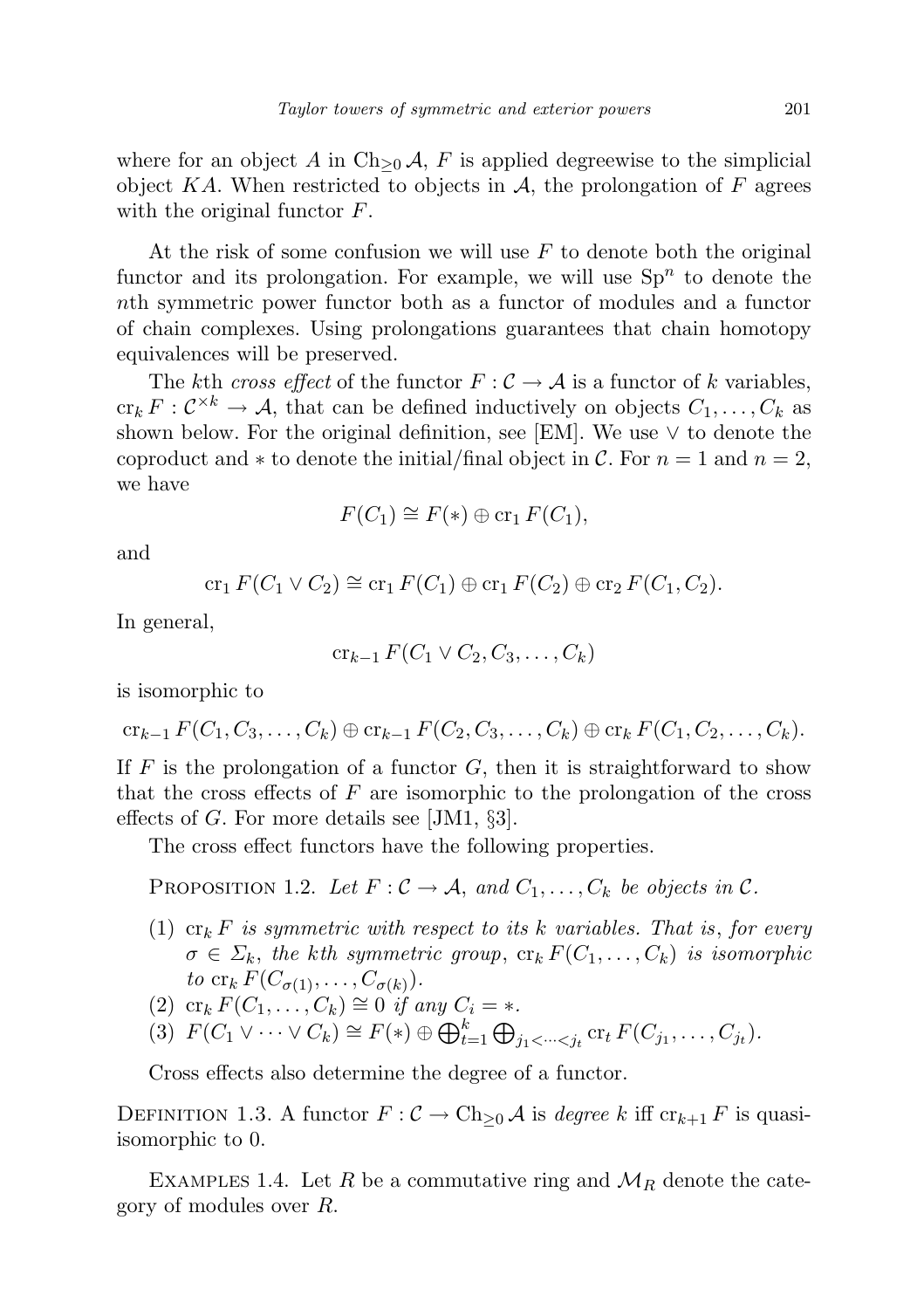where for an object A in Ch<sub>>0</sub> $\mathcal{A}$ , F is applied degreewise to the simplicial object  $KA$ . When restricted to objects in A, the prolongation of F agrees with the original functor  $F$ .

At the risk of some confusion we will use  $F$  to denote both the original functor and its prolongation. For example, we will use  $Sp<sup>n</sup>$  to denote the nth symmetric power functor both as a functor of modules and a functor of chain complexes. Using prolongations guarantees that chain homotopy equivalences will be preserved.

The kth cross effect of the functor  $F: \mathcal{C} \to \mathcal{A}$  is a functor of k variables,  $\operatorname{cr}_k F: \mathcal{C}^{\times k} \to \mathcal{A}$ , that can be defined inductively on objects  $C_1, \ldots, C_k$  as shown below. For the original definition, see [EM]. We use  $\vee$  to denote the coproduct and  $*$  to denote the initial/final object in C. For  $n = 1$  and  $n = 2$ , we have

$$
F(C_1) \cong F(*) \oplus \operatorname{cr}_1 F(C_1),
$$

and

 $cr_1 F(C_1 \vee C_2) \cong cr_1 F(C_1) \oplus cr_1 F(C_2) \oplus cr_2 F(C_1, C_2).$ 

In general,

$$
\operatorname{cr}_{k-1} F(C_1 \vee C_2, C_3, \dots, C_k)
$$

is isomorphic to

$$
\mathrm{cr}_{k-1} F(C_1, C_3, \ldots, C_k) \oplus \mathrm{cr}_{k-1} F(C_2, C_3, \ldots, C_k) \oplus \mathrm{cr}_k F(C_1, C_2, \ldots, C_k).
$$

If  $F$  is the prolongation of a functor  $G$ , then it is straightforward to show that the cross effects of  $F$  are isomorphic to the prolongation of the cross effects of G. For more details see [JM1,  $\S 3$ ].

The cross effect functors have the following properties.

PROPOSITION 1.2. Let  $F: \mathcal{C} \to \mathcal{A}$ , and  $C_1, \ldots, C_k$  be objects in  $\mathcal{C}$ .

(1)  $\operatorname{cr}_k F$  is symmetric with respect to its k variables. That is, for every  $\sigma \in \Sigma_k$ , the kth symmetric group,  ${\rm cr}_k F(C_1, \ldots, C_k)$  is isomorphic to  $\operatorname{cr}_k F(C_{\sigma(1)}, \ldots, C_{\sigma(k)})$ .

(2) cr<sub>k</sub>  $F(C_1, \ldots, C_k) \cong 0$  if any  $C_i = *$ .

(3)  $F(C_1 \vee \cdots \vee C_k) \cong F(*) \oplus \bigoplus_{t=1}^k \bigoplus_{j_1 < \cdots < j_t} \operatorname{cr}_t F(C_{j_1}, \ldots, C_{j_t}).$ 

Cross effects also determine the degree of a functor.

DEFINITION 1.3. A functor  $F : \mathcal{C} \to \text{Ch}_{\geq 0} \mathcal{A}$  is degree k iff  $\text{cr}_{k+1} F$  is quasiisomorphic to 0.

EXAMPLES 1.4. Let R be a commutative ring and  $\mathcal{M}_R$  denote the category of modules over R.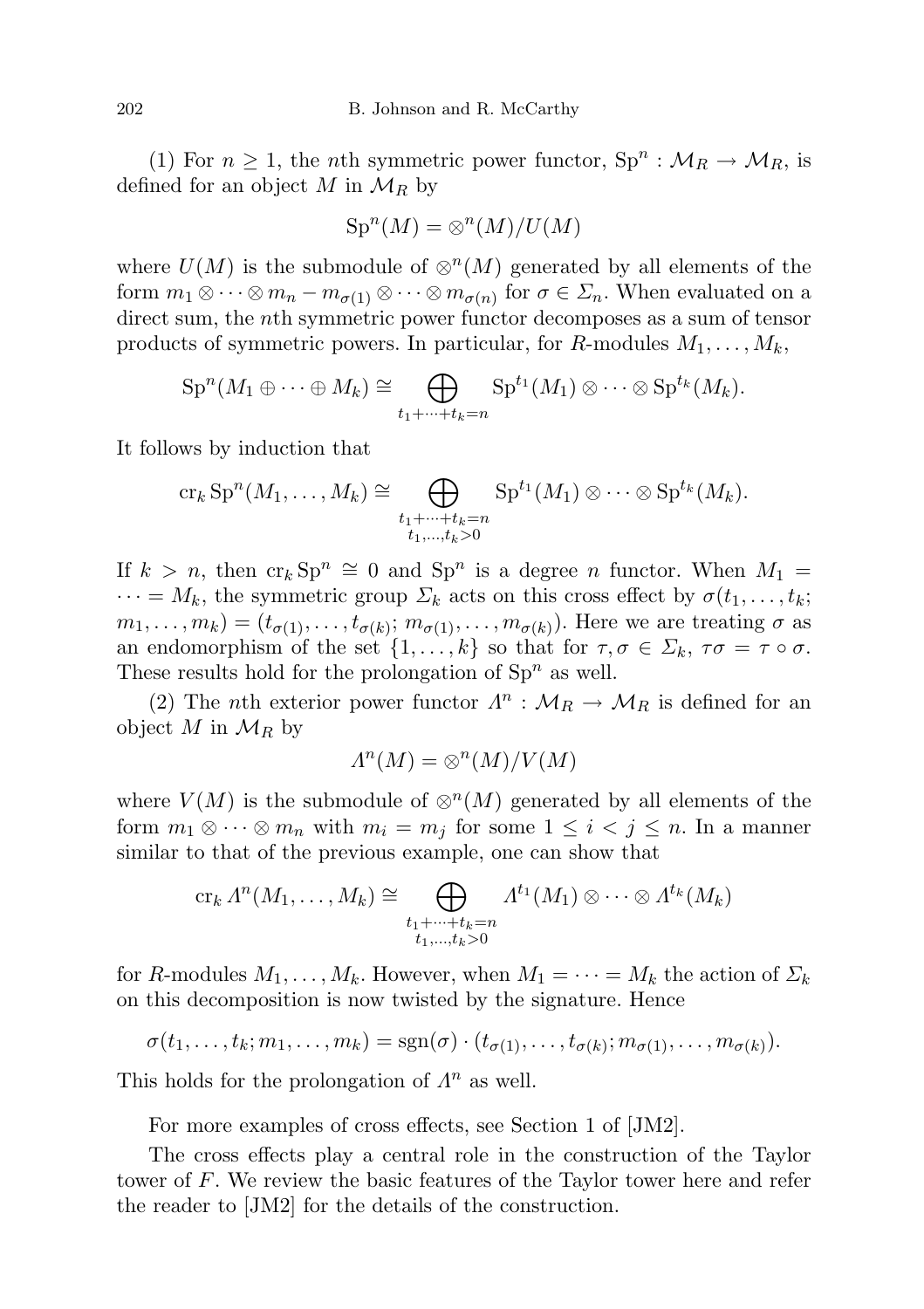(1) For  $n \geq 1$ , the *n*th symmetric power functor,  $\text{Sp}^n : \mathcal{M}_R \to \mathcal{M}_R$ , is defined for an object M in  $\mathcal{M}_R$  by

$$
\operatorname{Sp}^n(M) = \otimes^n(M)/U(M)
$$

where  $U(M)$  is the submodule of  $\otimes^{n}(M)$  generated by all elements of the form  $m_1 \otimes \cdots \otimes m_n - m_{\sigma(1)} \otimes \cdots \otimes m_{\sigma(n)}$  for  $\sigma \in \Sigma_n$ . When evaluated on a direct sum, the nth symmetric power functor decomposes as a sum of tensor products of symmetric powers. In particular, for R-modules  $M_1, \ldots, M_k$ ,

$$
\mathrm{Sp}^n(M_1\oplus\cdots\oplus M_k)\cong\bigoplus_{t_1+\cdots+t_k=n}\mathrm{Sp}^{t_1}(M_1)\otimes\cdots\otimes\mathrm{Sp}^{t_k}(M_k).
$$

It follows by induction that

$$
\operatorname{cr}_k \operatorname{Sp}^n(M_1,\ldots,M_k) \cong \bigoplus_{\substack{t_1+\cdots+t_k=n\\t_1,\ldots,t_k>0}} \operatorname{Sp}^{t_1}(M_1) \otimes \cdots \otimes \operatorname{Sp}^{t_k}(M_k).
$$

If  $k > n$ , then  $\operatorname{cr}_k \operatorname{Sp}^n \cong 0$  and  $\operatorname{Sp}^n$  is a degree *n* functor. When  $M_1 =$  $\cdots = M_k$ , the symmetric group  $\Sigma_k$  acts on this cross effect by  $\sigma(t_1, \ldots, t_k;$  $m_1, \ldots, m_k) = (t_{\sigma(1)}, \ldots, t_{\sigma(k)}; m_{\sigma(1)}, \ldots, m_{\sigma(k)})$ . Here we are treating  $\sigma$  as an endomorphism of the set  $\{1, \ldots, k\}$  so that for  $\tau, \sigma \in \Sigma_k$ ,  $\tau\sigma = \tau \circ \sigma$ . These results hold for the prolongation of  $Sp<sup>n</sup>$  as well.

(2) The *n*th exterior power functor  $\Lambda^n$  :  $\mathcal{M}_R \to \mathcal{M}_R$  is defined for an object M in  $\mathcal{M}_R$  by

$$
\Lambda^n(M) = \otimes^n(M)/V(M)
$$

where  $V(M)$  is the submodule of  $\otimes^{n}(M)$  generated by all elements of the form  $m_1 \otimes \cdots \otimes m_n$  with  $m_i = m_j$  for some  $1 \leq i < j \leq n$ . In a manner similar to that of the previous example, one can show that

$$
\operatorname{cr}_k \Lambda^n(M_1,\ldots,M_k) \cong \bigoplus_{\substack{t_1+\cdots+t_k=n\\t_1,\ldots,t_k>0}} \Lambda^{t_1}(M_1) \otimes \cdots \otimes \Lambda^{t_k}(M_k)
$$

for R-modules  $M_1, \ldots, M_k$ . However, when  $M_1 = \cdots = M_k$  the action of  $\Sigma_k$ on this decomposition is now twisted by the signature. Hence

$$
\sigma(t_1,\ldots,t_k;m_1,\ldots,m_k)=\mathrm{sgn}(\sigma)\cdot(t_{\sigma(1)},\ldots,t_{\sigma(k)};m_{\sigma(1)},\ldots,m_{\sigma(k)}).
$$

This holds for the prolongation of  $\Lambda^n$  as well.

For more examples of cross effects, see Section 1 of [JM2].

The cross effects play a central role in the construction of the Taylor tower of F. We review the basic features of the Taylor tower here and refer the reader to [JM2] for the details of the construction.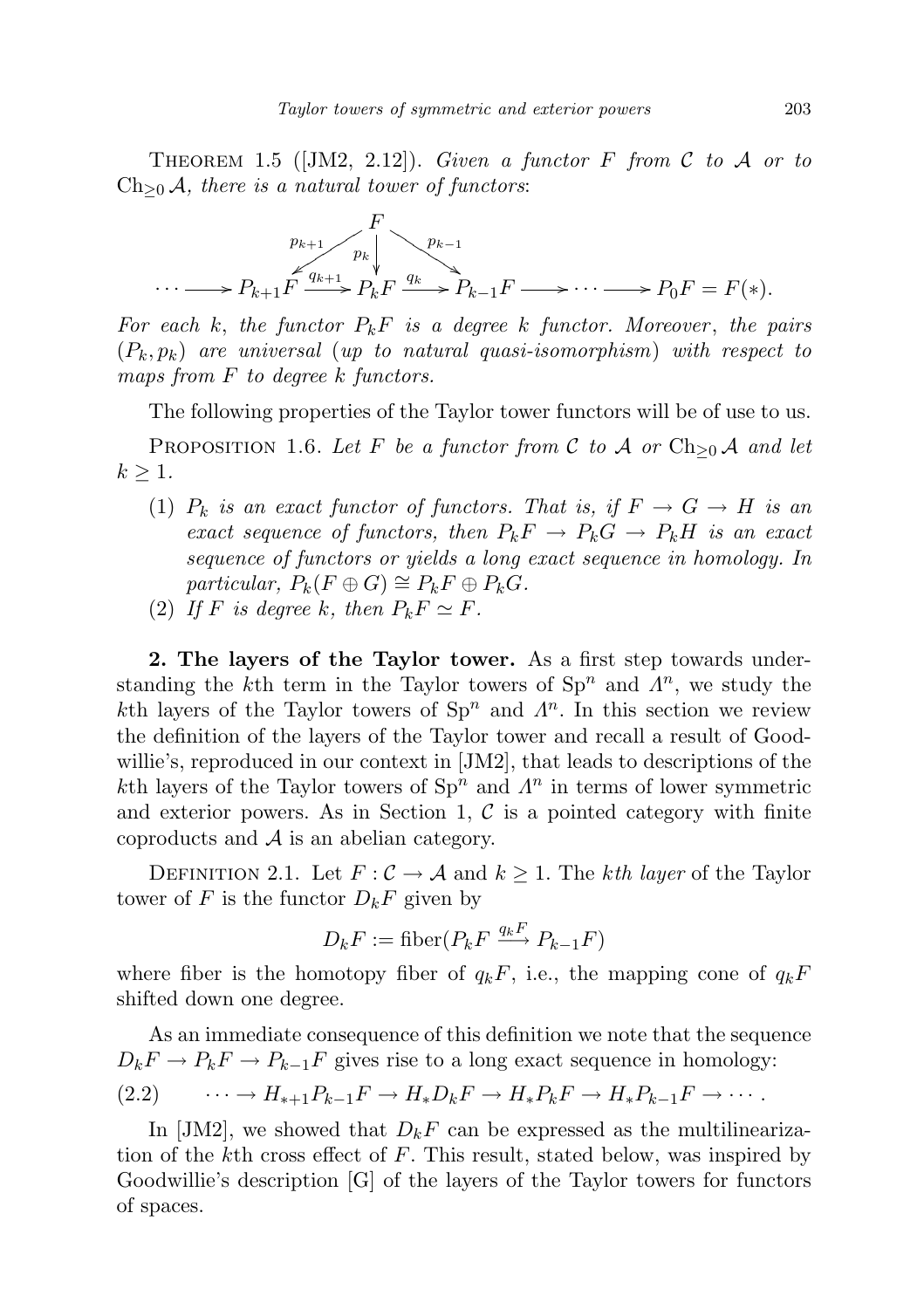THEOREM 1.5 ([JM2, 2.12]). Given a functor F from C to A or to  $Ch_{\geq 0}$  A, there is a natural tower of functors:

$$
\cdots \longrightarrow P_{k+1} F \xrightarrow{p_{k+1}} P_k F \xrightarrow{p_{k-1}} P_{k-1} F \longrightarrow \cdots \longrightarrow P_0 F = F(*).
$$

For each k, the functor  $P_kF$  is a degree k functor. Moreover, the pairs  $(P_k, p_k)$  are universal (up to natural quasi-isomorphism) with respect to maps from  $F$  to degree  $k$  functors.

The following properties of the Taylor tower functors will be of use to us.

PROPOSITION 1.6. Let F be a functor from C to A or  $\text{Ch}_{\geq 0}$  A and let  $k \geq 1$ .

- (1)  $P_k$  is an exact functor of functors. That is, if  $F \to G \to H$  is an exact sequence of functors, then  $P_kF \to P_kG \to P_kH$  is an exact sequence of functors or yields a long exact sequence in homology. In particular,  $P_k(F \oplus G) \cong P_k F \oplus P_k G$ .
- (2) If F is degree k, then  $P_k F \simeq F$ .

2. The layers of the Taylor tower. As a first step towards understanding the k<sup>th</sup> term in the Taylor towers of  $Sp<sup>n</sup>$  and  $\Lambda<sup>n</sup>$ , we study the kth layers of the Taylor towers of  $\text{Sp}^n$  and  $\Lambda^n$ . In this section we review the definition of the layers of the Taylor tower and recall a result of Goodwillie's, reproduced in our context in [JM2], that leads to descriptions of the kth layers of the Taylor towers of  $\text{Sp}^n$  and  $\Lambda^n$  in terms of lower symmetric and exterior powers. As in Section 1,  $\mathcal C$  is a pointed category with finite coproducts and  $A$  is an abelian category.

DEFINITION 2.1. Let  $F: \mathcal{C} \to \mathcal{A}$  and  $k \geq 1$ . The kth layer of the Taylor tower of F is the functor  $D_k F$  given by

$$
D_k F := \text{fiber}(P_k F \xrightarrow{q_k F} P_{k-1} F)
$$

where fiber is the homotopy fiber of  $q_kF$ , i.e., the mapping cone of  $q_kF$ shifted down one degree.

As an immediate consequence of this definition we note that the sequence  $D_k F \to P_k F \to P_{k-1} F$  gives rise to a long exact sequence in homology:  $(2.2) \qquad \cdots \rightarrow H_{*+1}P_{k-1}F \rightarrow H_{*}D_{k}F \rightarrow H_{*}P_{k}F \rightarrow H_{*}P_{k-1}F \rightarrow \cdots$ 

In [JM2], we showed that  $D_kF$  can be expressed as the multilinearization of the kth cross effect of F. This result, stated below, was inspired by Goodwillie's description [G] of the layers of the Taylor towers for functors of spaces.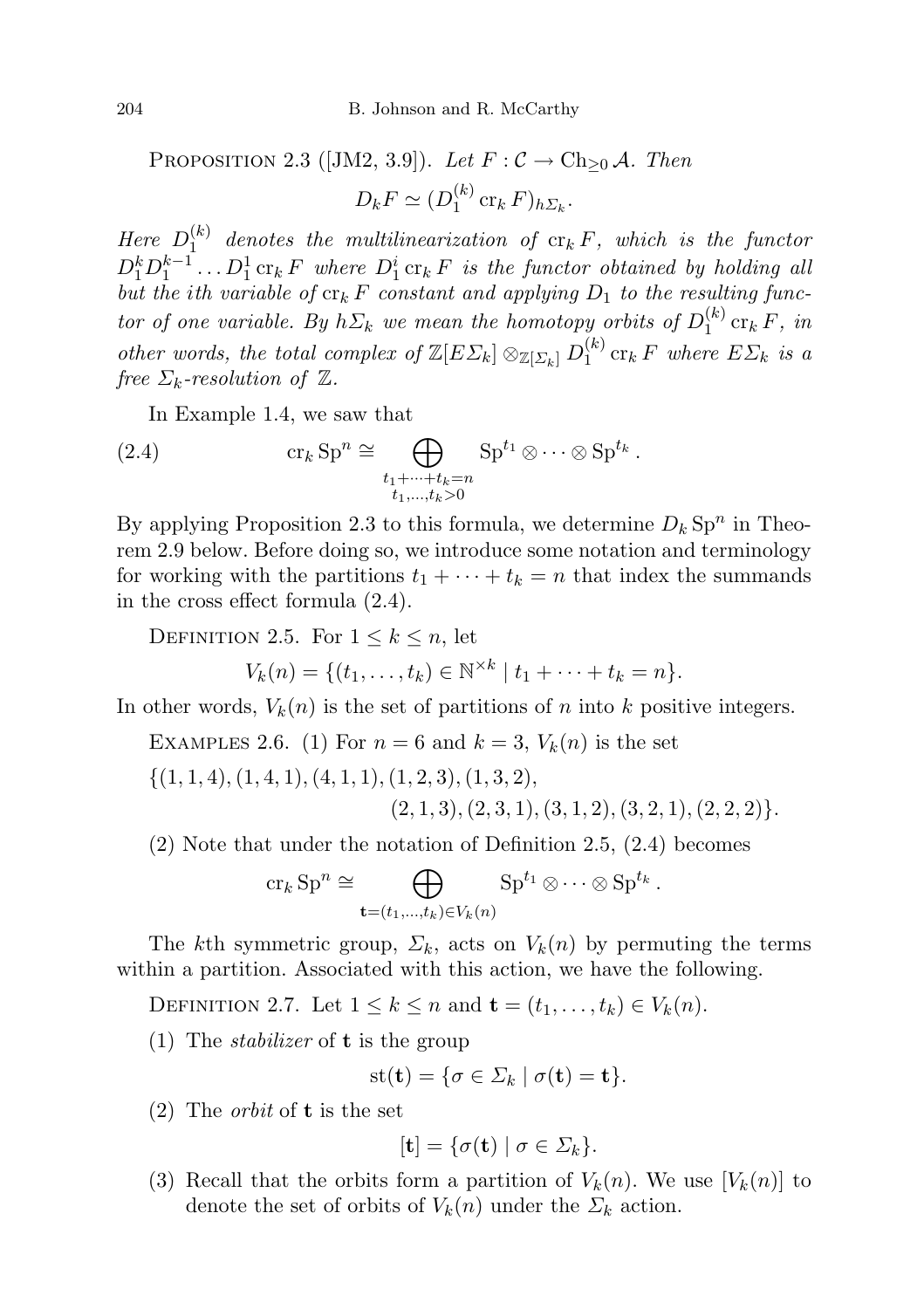PROPOSITION 2.3 ([JM2, 3.9]). Let  $F: \mathcal{C} \to \text{Ch}_{\geq 0} \mathcal{A}$ . Then  $D_k F \simeq (D_1^{(k)}$  $i_1^{(\kappa)}$  cr<sub>k</sub>  $F)_{h\Sigma_k}$ .

Here  $D_1^{(k)}$  $\int_{1}^{(\kappa)}$  denotes the multilinearization of  ${\rm cr}_k F$ , which is the functor  $D_1^k D_1^{k-1} \ldots D_1^1$  cr<sub>k</sub> F where  $D_1^i$  cr<sub>k</sub> F is the functor obtained by holding all but the ith variable of  $\operatorname{cr}_k F$  constant and applying  $D_1$  to the resulting functor of one variable. By  $h\Sigma_k$  we mean the homotopy orbits of  $D_1^{(k)}$  $\int_1^{(\kappa)} \operatorname{cr}_k F$ , in other words, the total complex of  $\mathbb{Z}[E \Sigma_k] \otimes_{\mathbb{Z}[\Sigma_k]} D_1^{(k)}$  $\int_1^{(k)}$  cr<sub>k</sub> F where  $E\Sigma_k$  is a free  $\Sigma_k$ -resolution of  $\mathbb Z$ .

In Example 1.4, we saw that

(2.4) 
$$
\operatorname{cr}_k \operatorname{Sp}^n \cong \bigoplus_{\substack{t_1 + \dots + t_k = n \\ t_1, \dots, t_k > 0}} \operatorname{Sp}^{t_1} \otimes \dots \otimes \operatorname{Sp}^{t_k}.
$$

By applying Proposition 2.3 to this formula, we determine  $D_k$  Sp<sup>n</sup> in Theorem 2.9 below. Before doing so, we introduce some notation and terminology for working with the partitions  $t_1 + \cdots + t_k = n$  that index the summands in the cross effect formula (2.4).

DEFINITION 2.5. For  $1 \leq k \leq n$ , let

 $V_k(n) = \{(t_1, \ldots, t_k) \in \mathbb{N}^{\times k} \mid t_1 + \cdots + t_k = n\}.$ 

In other words,  $V_k(n)$  is the set of partitions of n into k positive integers.

- EXAMPLES 2.6. (1) For  $n = 6$  and  $k = 3$ ,  $V_k(n)$  is the set
- $\{(1, 1, 4), (1, 4, 1), (4, 1, 1), (1, 2, 3), (1, 3, 2),$  $(2, 1, 3), (2, 3, 1), (3, 1, 2), (3, 2, 1), (2, 2, 2)\}.$

(2) Note that under the notation of Definition 2.5, (2.4) becomes

$$
\operatorname{cr}_k \operatorname{Sp}^n \cong \bigoplus_{\mathbf{t} = (t_1, \ldots, t_k) \in V_k(n)} \operatorname{Sp}^{t_1} \otimes \cdots \otimes \operatorname{Sp}^{t_k}.
$$

The kth symmetric group,  $\Sigma_k$ , acts on  $V_k(n)$  by permuting the terms within a partition. Associated with this action, we have the following.

DEFINITION 2.7. Let  $1 \leq k \leq n$  and  $\mathbf{t} = (t_1, \ldots, t_k) \in V_k(n)$ .

(1) The *stabilizer* of **t** is the group

$$
st(\mathbf{t}) = \{ \sigma \in \Sigma_k \mid \sigma(\mathbf{t}) = \mathbf{t} \}.
$$

(2) The *orbit* of **t** is the set

$$
[\mathbf{t}] = \{ \sigma(\mathbf{t}) \mid \sigma \in \Sigma_k \}.
$$

(3) Recall that the orbits form a partition of  $V_k(n)$ . We use  $[V_k(n)]$  to denote the set of orbits of  $V_k(n)$  under the  $\Sigma_k$  action.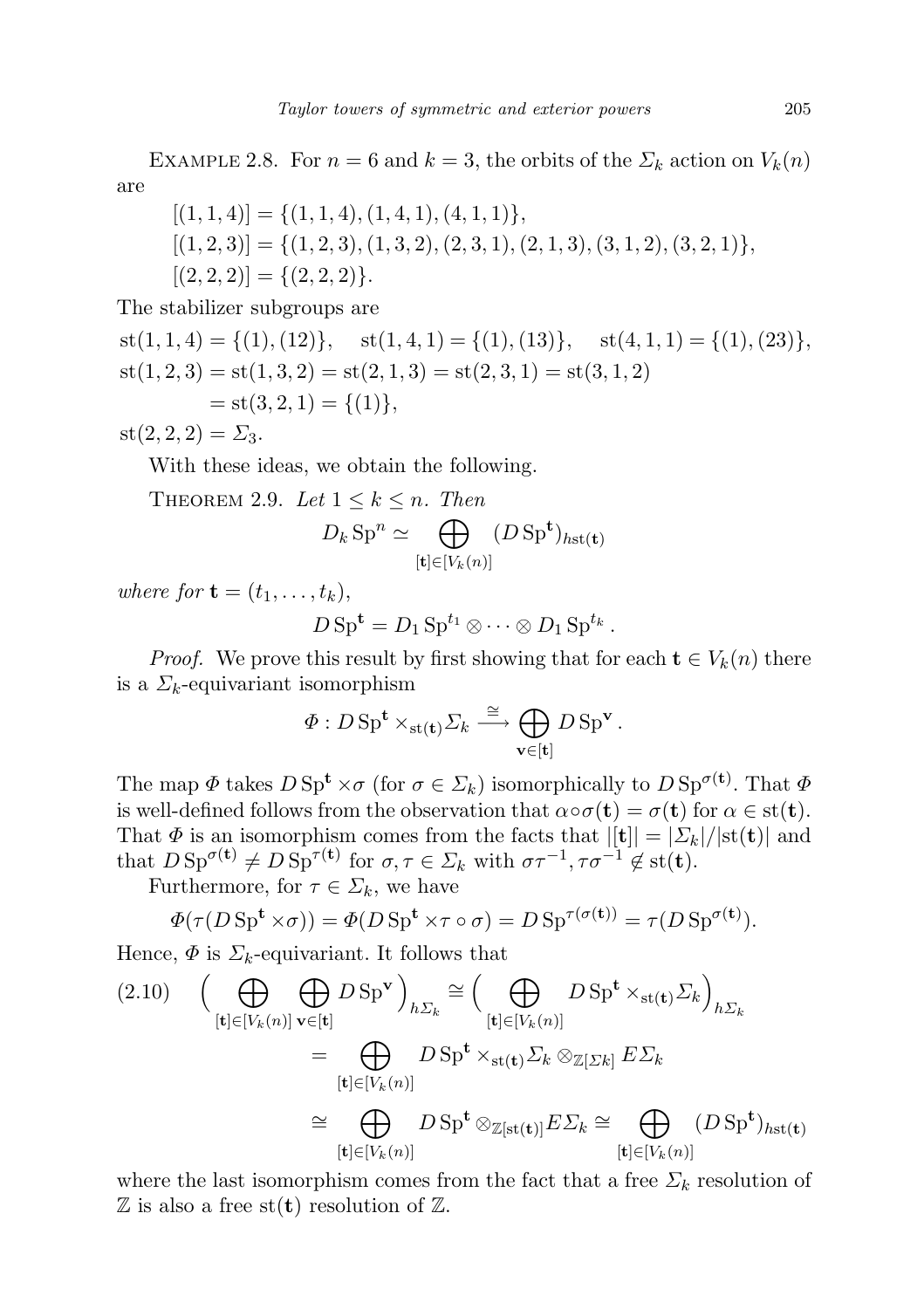EXAMPLE 2.8. For  $n = 6$  and  $k = 3$ , the orbits of the  $\Sigma_k$  action on  $V_k(n)$ are

$$
[(1, 1, 4)] = \{(1, 1, 4), (1, 4, 1), (4, 1, 1)\},\
$$

$$
[(1, 2, 3)] = \{(1, 2, 3), (1, 3, 2), (2, 3, 1), (2, 1, 3), (3, 1, 2), (3, 2, 1)\},\
$$

$$
[(2, 2, 2)] = \{(2, 2, 2)\}.
$$

The stabilizer subgroups are

 $st(1, 1, 4) = \{(1), (12)\}, \quad st(1, 4, 1) = \{(1), (13)\}, \quad st(4, 1, 1) = \{(1), (23)\},\$  $st(1, 2, 3) = st(1, 3, 2) = st(2, 1, 3) = st(2, 3, 1) = st(3, 1, 2)$  $=$  st(3, 2, 1) = {(1)},

 $st(2, 2, 2) = \Sigma_3$ .

With these ideas, we obtain the following.

THEOREM 2.9. Let  $1 \leq k \leq n$ . Then

$$
D_k \operatorname{Sp}^n \simeq \bigoplus_{[\mathbf{t}] \in [V_k(n)]} (D \operatorname{Sp}^{\mathbf{t}})_{h \operatorname{st}(\mathbf{t})}
$$

where for  $\mathbf{t} = (t_1, \ldots, t_k)$ ,

$$
D\,\mathrm{Sp}^{\mathbf{t}}=D_1\,\mathrm{Sp}^{t_1}\otimes\cdots\otimes D_1\,\mathrm{Sp}^{t_k}\,.
$$

*Proof.* We prove this result by first showing that for each  $\mathbf{t} \in V_k(n)$  there is a  $\Sigma_k$ -equivariant isomorphism

$$
\Phi: D \operatorname{Sp}^{\mathbf{t}} \times_{\operatorname{st}(\mathbf{t})} \Sigma_k \stackrel{\cong}{\longrightarrow} \bigoplus_{\mathbf{v} \in [\mathbf{t}]} D \operatorname{Sp}^{\mathbf{v}}.
$$

The map  $\Phi$  takes  $D \text{Sp}^{\mathbf{t}} \times \sigma$  (for  $\sigma \in \Sigma_k$ ) isomorphically to  $D \text{Sp}^{\sigma(\mathbf{t})}$ . That  $\Phi$ is well-defined follows from the observation that  $\alpha \circ \sigma(\mathbf{t}) = \sigma(\mathbf{t})$  for  $\alpha \in \text{st}(\mathbf{t})$ . That  $\Phi$  is an isomorphism comes from the facts that  $||\mathbf{t}|| = |\Sigma_k|/|\text{st}(\mathbf{t})|$  and that  $D \, \text{Sp}^{\sigma(\mathbf{t})} \neq D \, \text{Sp}^{\tau(\mathbf{t})}$  for  $\sigma, \tau \in \Sigma_k$  with  $\sigma \tau^{-1}, \tau \sigma^{-1} \notin \text{st}(\mathbf{t})$ .

Furthermore, for  $\tau \in \Sigma_k$ , we have

$$
\Phi(\tau(D \text{ Sp}^{\mathbf{t}} \times \sigma)) = \Phi(D \text{ Sp}^{\mathbf{t}} \times \tau \circ \sigma) = D \text{Sp}^{\tau(\sigma(\mathbf{t}))} = \tau(D \text{Sp}^{\sigma(\mathbf{t})}).
$$

Hence,  $\Phi$  is  $\Sigma_k$ -equivariant. It follows that

$$
(2.10) \quad \left(\bigoplus_{[\mathbf{t}]\in[V_k(n)]} \bigoplus_{\mathbf{v}\in[\mathbf{t}]} D \operatorname{Sp}^{\mathbf{v}}\right)_{h\Sigma_k} \cong \left(\bigoplus_{[\mathbf{t}]\in[V_k(n)]} D \operatorname{Sp}^{\mathbf{t}} \times_{\operatorname{st}(\mathbf{t})} \Sigma_k\right)_{h\Sigma_k}
$$
\n
$$
= \bigoplus_{[\mathbf{t}]\in[V_k(n)]} D \operatorname{Sp}^{\mathbf{t}} \times_{\operatorname{st}(\mathbf{t})} \Sigma_k \otimes_{\mathbb{Z}[\Sigma k]} E \Sigma_k
$$
\n
$$
\cong \bigoplus_{[\mathbf{t}]\in[V_k(n)]} D \operatorname{Sp}^{\mathbf{t}} \otimes_{\mathbb{Z}[\operatorname{st}(\mathbf{t})]} E \Sigma_k \cong \bigoplus_{[\mathbf{t}]\in[V_k(n)]} (D \operatorname{Sp}^{\mathbf{t}})_{h\operatorname{st}(\mathbf{t})}
$$

where the last isomorphism comes from the fact that a free  $\Sigma_k$  resolution of  $\mathbb Z$  is also a free st(**t**) resolution of  $\mathbb Z$ .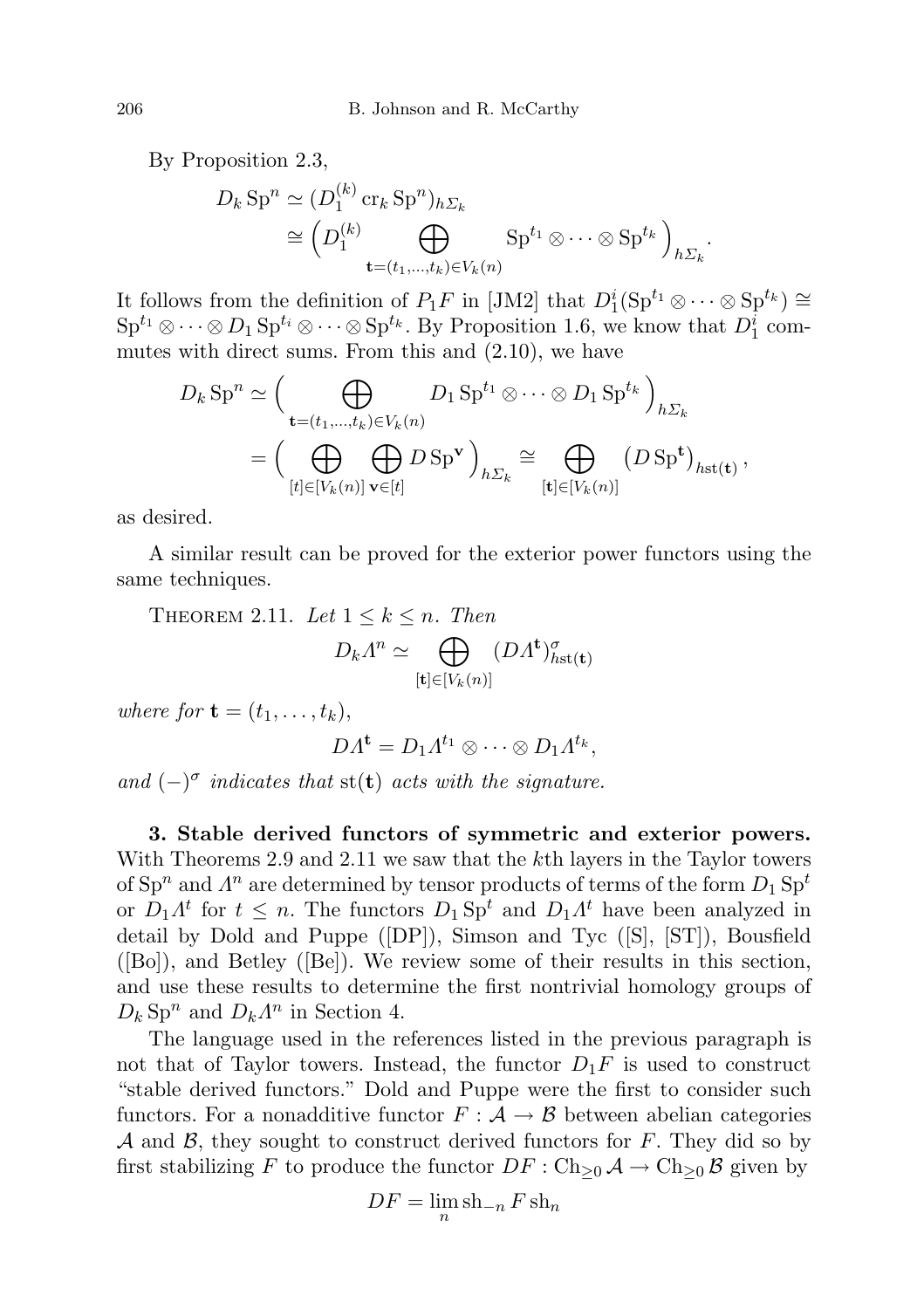By Proposition 2.3,

$$
D_k \operatorname{Sp}^n \simeq (D_1^{(k)} \operatorname{cr}_k \operatorname{Sp}^n)_{h\Sigma_k}
$$
  
\n
$$
\cong \left(D_1^{(k)} \bigoplus_{\mathbf{t}=(t_1,\ldots,t_k)\in V_k(n)} \operatorname{Sp}^{t_1} \otimes \cdots \otimes \operatorname{Sp}^{t_k}\right)_{h\Sigma_k}
$$

.

It follows from the definition of  $P_1F$  in [JM2] that  $D_1^i(\text{Sp}^{t_1}\otimes \cdots \otimes \text{Sp}^{t_k}) \cong$  $\text{Sp}^{t_1} \otimes \cdots \otimes D_1 \text{Sp}^{t_i} \otimes \cdots \otimes \text{Sp}^{t_k}$ . By Proposition 1.6, we know that  $D_1^i$  commutes with direct sums. From this and (2.10), we have

$$
D_k \operatorname{Sp}^n \simeq \Big( \bigoplus_{\mathbf{t} = (t_1, \ldots, t_k) \in V_k(n)} D_1 \operatorname{Sp}^{t_1} \otimes \cdots \otimes D_1 \operatorname{Sp}^{t_k} \Big)_{h \Sigma_k}
$$
  
= 
$$
\Big( \bigoplus_{[t] \in [V_k(n)]} \bigoplus_{\mathbf{v} \in [t]} D \operatorname{Sp}^{\mathbf{v}} \Big)_{h \Sigma_k} \cong \bigoplus_{[\mathbf{t}] \in [V_k(n)]} (D \operatorname{Sp}^{\mathbf{t}})_{h \operatorname{st}(\mathbf{t})},
$$

as desired.

A similar result can be proved for the exterior power functors using the same techniques.

THEOREM 2.11. Let  $1 \leq k \leq n$ . Then

$$
D_k \Lambda^n \simeq \bigoplus_{[\mathbf{t}] \in [V_k(n)]} (D \Lambda^{\mathbf{t}})^{\sigma}_{\text{hst}(\mathbf{t})}
$$

where for  $\mathbf{t} = (t_1, \ldots, t_k)$ ,

$$
DA^{\mathbf{t}} = D_1 A^{t_1} \otimes \cdots \otimes D_1 A^{t_k},
$$

and  $(-)^\sigma$  indicates that st(t) acts with the signature.

3. Stable derived functors of symmetric and exterior powers. With Theorems 2.9 and 2.11 we saw that the k<sup>th</sup> layers in the Taylor towers of  $\text{Sp}^n$  and  $\varLambda^n$  are determined by tensor products of terms of the form  $D_1 \, \text{Sp}^t$ or  $D_1 \Lambda^t$  for  $t \leq n$ . The functors  $D_1 \text{Sp}^t$  and  $D_1 \Lambda^t$  have been analyzed in detail by Dold and Puppe ([DP]), Simson and Tyc ([S], [ST]), Bousfield ([Bo]), and Betley ([Be]). We review some of their results in this section, and use these results to determine the first nontrivial homology groups of  $D_k$  Sp<sup>n</sup> and  $D_k \Lambda^n$  in Section 4.

The language used in the references listed in the previous paragraph is not that of Taylor towers. Instead, the functor  $D_1F$  is used to construct "stable derived functors." Dold and Puppe were the first to consider such functors. For a nonadditive functor  $F : A \rightarrow \mathcal{B}$  between abelian categories  $\mathcal A$  and  $\mathcal B$ , they sought to construct derived functors for F. They did so by first stabilizing F to produce the functor  $DF : Ch_{>0} \mathcal{A} \to Ch_{>0} \mathcal{B}$  given by

$$
DF = \lim_{n} \sh_{-n} F \sh_n
$$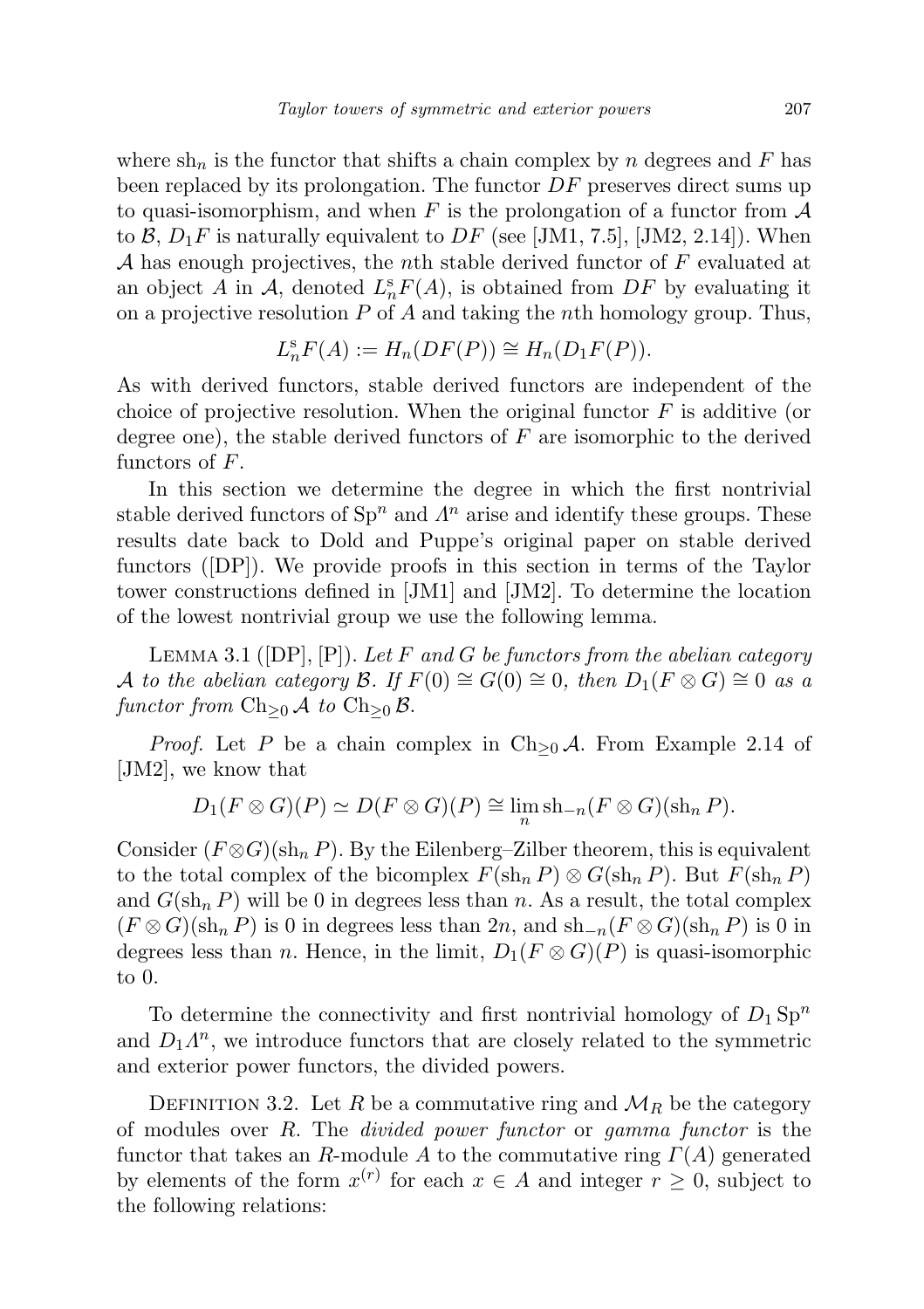where  $\sin_n$  is the functor that shifts a chain complex by n degrees and F has been replaced by its prolongation. The functor  $DF$  preserves direct sums up to quasi-isomorphism, and when F is the prolongation of a functor from  $A$ to B,  $D_1F$  is naturally equivalent to DF (see [JM1, 7.5], [JM2, 2.14]). When A has enough projectives, the nth stable derived functor of  $F$  evaluated at an object A in A, denoted  $L_n^s F(A)$ , is obtained from DF by evaluating it on a projective resolution  $P$  of  $A$  and taking the nth homology group. Thus,

$$
L_n^s F(A) := H_n(DF(P)) \cong H_n(D_1F(P)).
$$

As with derived functors, stable derived functors are independent of the choice of projective resolution. When the original functor  $F$  is additive (or degree one), the stable derived functors of  $F$  are isomorphic to the derived functors of F.

In this section we determine the degree in which the first nontrivial stable derived functors of  $\text{Sp}^n$  and  $\Lambda^n$  arise and identify these groups. These results date back to Dold and Puppe's original paper on stable derived functors ([DP]). We provide proofs in this section in terms of the Taylor tower constructions defined in [JM1] and [JM2]. To determine the location of the lowest nontrivial group we use the following lemma.

LEMMA 3.1 ( $[DP], [P]$ ). Let F and G be functors from the abelian category A to the abelian category B. If  $F(0) \cong G(0) \cong 0$ , then  $D_1(F \otimes G) \cong 0$  as a functor from  $\text{Ch}_{\geq 0}$  A to  $\text{Ch}_{\geq 0}$  B.

*Proof.* Let P be a chain complex in  $\text{Ch}_{\geq 0}$  A. From Example 2.14 of [JM2], we know that

$$
D_1(F \otimes G)(P) \simeq D(F \otimes G)(P) \cong \lim_n \operatorname{sh}_{-n}(F \otimes G)(\operatorname{sh}_n P).
$$

Consider  $(F \otimes G)(\sh_n P)$ . By the Eilenberg–Zilber theorem, this is equivalent to the total complex of the bicomplex  $F(\sh_n P) \otimes G(\sh_n P)$ . But  $F(\sh_n P)$ and  $G(\sh_n P)$  will be 0 in degrees less than n. As a result, the total complex  $(F \otimes G)(\sh_n P)$  is 0 in degrees less than  $2n$ , and  $\sh_{-n}(F \otimes G)(\sh_n P)$  is 0 in degrees less than n. Hence, in the limit,  $D_1(F \otimes G)(P)$  is quasi-isomorphic to 0.

To determine the connectivity and first nontrivial homology of  $D_1 \text{Sp}^n$ and  $D_1 \Lambda^n$ , we introduce functors that are closely related to the symmetric and exterior power functors, the divided powers.

DEFINITION 3.2. Let R be a commutative ring and  $\mathcal{M}_R$  be the category of modules over  $R$ . The *divided power functor* or *gamma functor* is the functor that takes an R-module A to the commutative ring  $\Gamma(A)$  generated by elements of the form  $x^{(r)}$  for each  $x \in A$  and integer  $r \geq 0$ , subject to the following relations: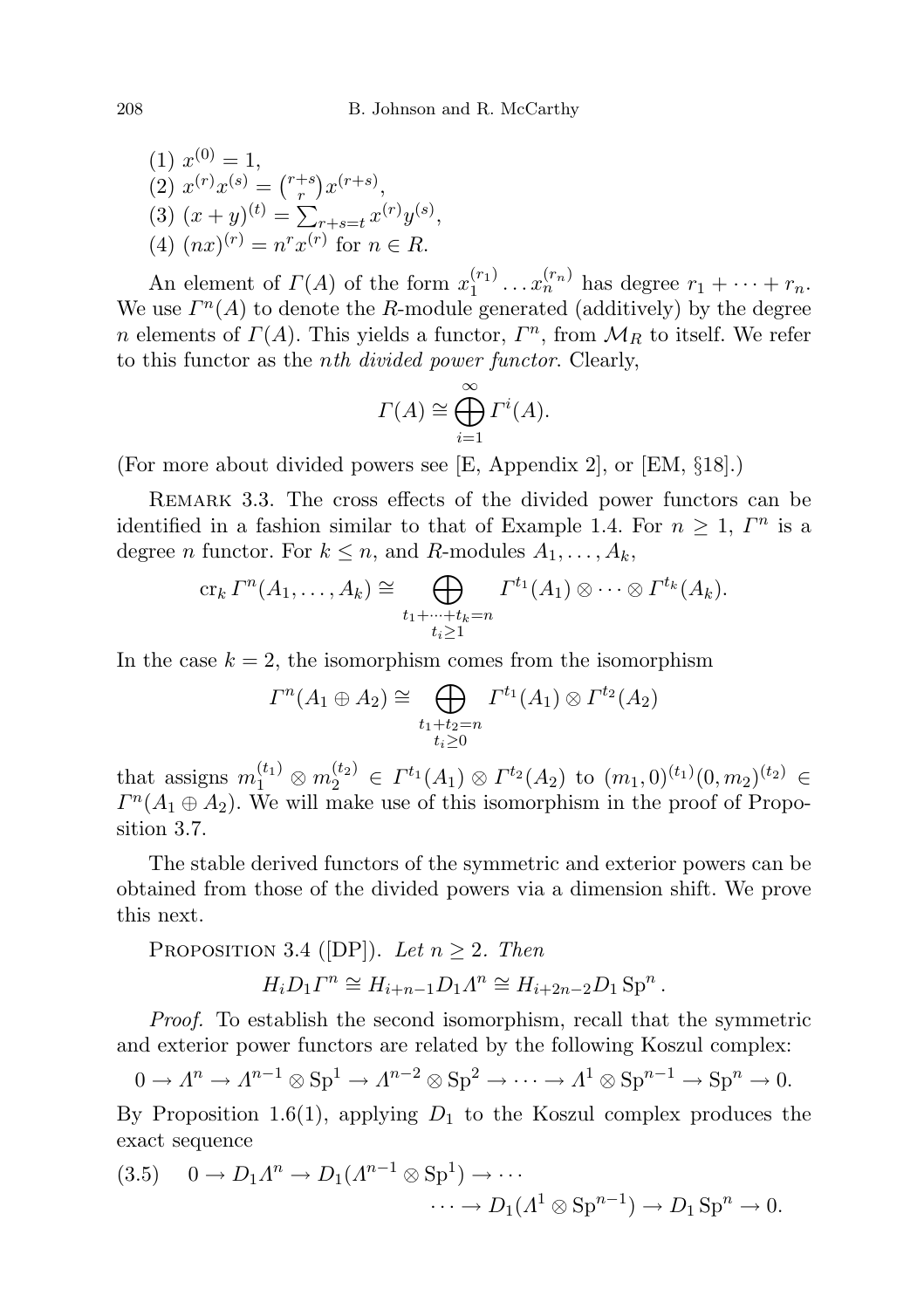(1) 
$$
x^{(0)} = 1
$$
,  
\n(2)  $x^{(r)}x^{(s)} = {r+s \choose r}x^{(r+s)}$ ,  
\n(3)  $(x+y)^{(t)} = \sum_{r+s=t} x^{(r)}y^{(s)}$   
\n(4)  $(nx)^{(r)} = n^r x^{(r)}$  for  $n \in R$ .

An element of  $\Gamma(A)$  of the form  $x_1^{(r_1)}$  $x_1^{(r_1)} \dots x_n^{(r_n)}$  has degree  $r_1 + \dots + r_n$ . We use  $\Gamma^{n}(A)$  to denote the R-module generated (additively) by the degree *n* elements of  $\Gamma(A)$ . This yields a functor,  $\Gamma^n$ , from  $\mathcal{M}_R$  to itself. We refer to this functor as the nth divided power functor. Clearly,

,

$$
\Gamma(A) \cong \bigoplus_{i=1}^{\infty} \Gamma^i(A).
$$

(For more about divided powers see [E, Appendix 2], or [EM, §18].)

REMARK 3.3. The cross effects of the divided power functors can be identified in a fashion similar to that of Example 1.4. For  $n \geq 1$ ,  $\Gamma^n$  is a degree *n* functor. For  $k \leq n$ , and *R*-modules  $A_1, \ldots, A_k$ ,

$$
\operatorname{cr}_k \varGamma^n(A_1,\ldots,A_k) \cong \bigoplus_{\substack{t_1+\cdots+t_k=n\\t_i\geq 1}} \varGamma^{t_1}(A_1) \otimes \cdots \otimes \varGamma^{t_k}(A_k).
$$

In the case  $k = 2$ , the isomorphism comes from the isomorphism

$$
\Gamma^{n}(A_1 \oplus A_2) \cong \bigoplus_{\substack{t_1+t_2=n\\t_i\geq 0}} \Gamma^{t_1}(A_1) \otimes \Gamma^{t_2}(A_2)
$$

that assigns  $m_1^{(t_1)} \otimes m_2^{(t_2)} \in \Gamma^{t_1}(A_1) \otimes \Gamma^{t_2}(A_2)$  to  $(m_1,0)^{(t_1)}(0,m_2)^{(t_2)} \in$  $\Gamma^{n}(A_1 \oplus A_2)$ . We will make use of this isomorphism in the proof of Proposition 3.7.

The stable derived functors of the symmetric and exterior powers can be obtained from those of the divided powers via a dimension shift. We prove this next.

PROPOSITION 3.4 ([DP]). Let  $n \geq 2$ . Then

$$
H_i D_1 \Gamma^n \cong H_{i+n-1} D_1 \Lambda^n \cong H_{i+2n-2} D_1 \text{Sp}^n.
$$

Proof. To establish the second isomorphism, recall that the symmetric and exterior power functors are related by the following Koszul complex:

$$
0 \to \Lambda^n \to \Lambda^{n-1} \otimes \mathrm{Sp}^1 \to \Lambda^{n-2} \otimes \mathrm{Sp}^2 \to \cdots \to \Lambda^1 \otimes \mathrm{Sp}^{n-1} \to \mathrm{Sp}^n \to 0.
$$

By Proposition 1.6(1), applying  $D_1$  to the Koszul complex produces the exact sequence

(3.5) 
$$
0 \to D_1 \Lambda^n \to D_1 (\Lambda^{n-1} \otimes \mathrm{Sp}^1) \to \cdots
$$

$$
\cdots \to D_1 (\Lambda^1 \otimes \mathrm{Sp}^{n-1}) \to D_1 \mathrm{Sp}^n \to 0.
$$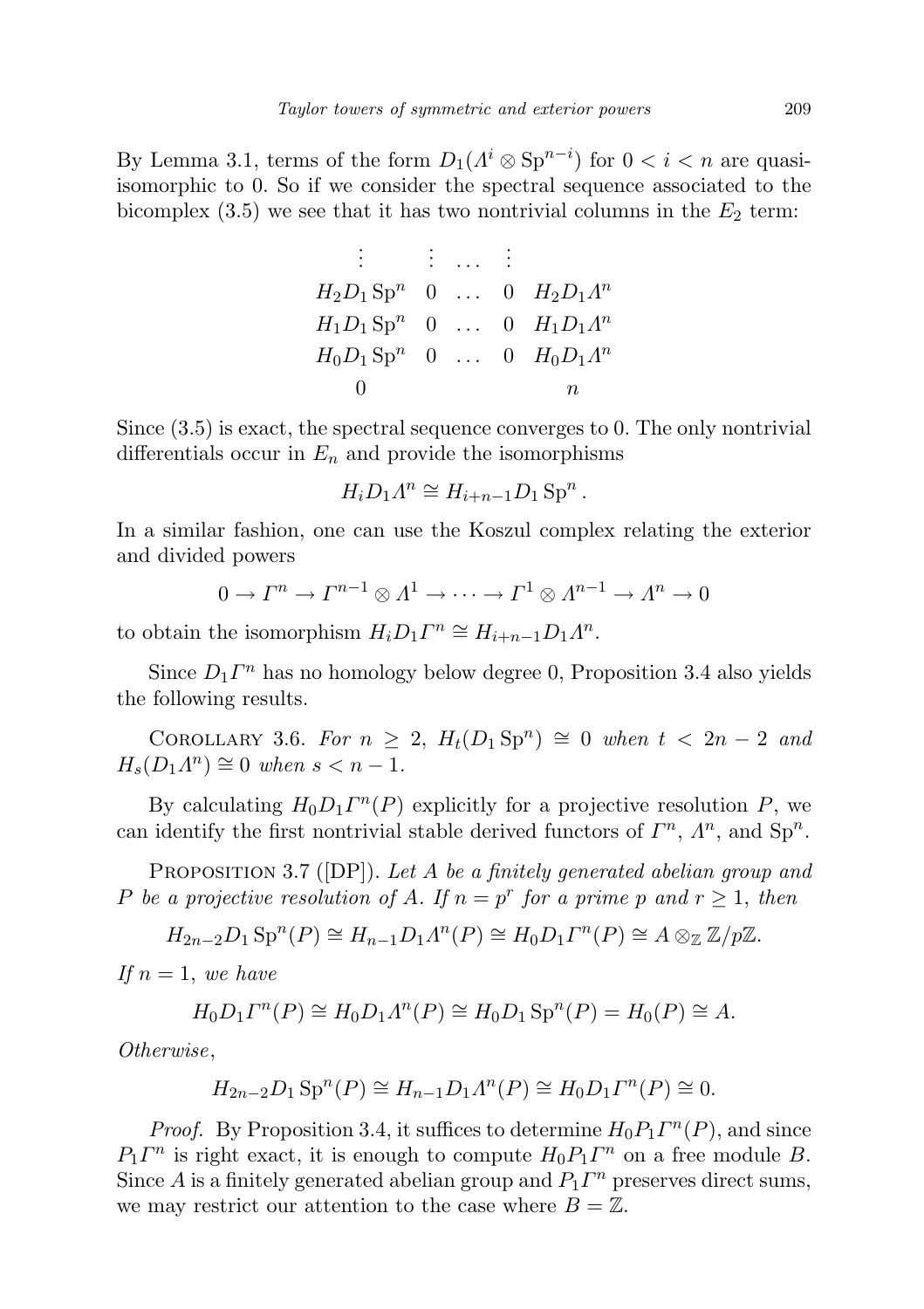By Lemma 3.1, terms of the form  $D_1(\Lambda^i \otimes \text{Sp}^{n-i})$  for  $0 < i < n$  are quasiisomorphic to 0. So if we consider the spectral sequence associated to the bicomplex  $(3.5)$  we see that it has two nontrivial columns in the  $E_2$  term:

|                                                                           | $\mathbb{R}^n \times \mathbb{R}^n$ . The set of $\mathbb{R}^n$ |    |
|---------------------------------------------------------------------------|----------------------------------------------------------------|----|
| $H_2D_1 \text{Sp}^n \quad 0 \quad \dots \quad 0 \quad H_2D_1\Lambda^n$    |                                                                |    |
| $H_1D_1 \text{Sp}^n \quad 0 \quad \dots \quad 0 \quad H_1D_1\Lambda^n$    |                                                                |    |
|                                                                           |                                                                |    |
| $H_0 D_1 \text{Sp}^n \quad 0 \quad \dots \quad 0 \quad H_0 D_1 \Lambda^n$ |                                                                |    |
|                                                                           |                                                                | п. |

Since (3.5) is exact, the spectral sequence converges to 0. The only nontrivial differentials occur in  $E_n$  and provide the isomorphisms

$$
H_i D_1 \Lambda^n \cong H_{i+n-1} D_1 \operatorname{Sp}^n.
$$

In a similar fashion, one can use the Koszul complex relating the exterior and divided powers

$$
0 \to \Gamma^n \to \Gamma^{n-1} \otimes \Lambda^1 \to \cdots \to \Gamma^1 \otimes \Lambda^{n-1} \to \Lambda^n \to 0
$$

to obtain the isomorphism  $H_i D_1 \Gamma^n \cong H_{i+n-1} D_1 \Lambda^n$ .

Since  $D_1 \Gamma^n$  has no homology below degree 0, Proposition 3.4 also yields the following results.

COROLLARY 3.6. For  $n \geq 2$ ,  $H_t(D_1 \text{Sp}^n) \cong 0$  when  $t < 2n - 2$  and  $H_s(D_1\Lambda^n) \cong 0$  when  $s < n - 1$ .

By calculating  $H_0 D_1 \Gamma^n(P)$  explicitly for a projective resolution P, we can identify the first nontrivial stable derived functors of  $\Gamma^n$ ,  $\Lambda^n$ , and  $\text{Sp}^n$ .

PROPOSITION 3.7 ([DP]). Let A be a finitely generated abelian group and P be a projective resolution of A. If  $n = p^r$  for a prime p and  $r \ge 1$ , then

 $H_{2n-2}D_1 \text{Sp}^n(P) \cong H_{n-1}D_1 \Lambda^n(P) \cong H_0 D_1 \Gamma^n(P) \cong A \otimes_{\mathbb{Z}} \mathbb{Z}/p\mathbb{Z}.$ 

If  $n=1$ , we have

$$
H_0 D_1 \Gamma^n(P) \cong H_0 D_1 \Lambda^n(P) \cong H_0 D_1 \operatorname{Sp}^n(P) = H_0(P) \cong A.
$$

Otherwise,

$$
H_{2n-2}D_1 \text{Sp}^n(P) \cong H_{n-1}D_1 \Lambda^n(P) \cong H_0 D_1 \Gamma^n(P) \cong 0.
$$

*Proof.* By Proposition 3.4, it suffices to determine  $H_0 P_1 \Gamma^n(P)$ , and since  $P_1 \Gamma^n$  is right exact, it is enough to compute  $H_0 P_1 \Gamma^n$  on a free module B. Since A is a finitely generated abelian group and  $P_1 \Gamma^n$  preserves direct sums, we may restrict our attention to the case where  $B = \mathbb{Z}$ .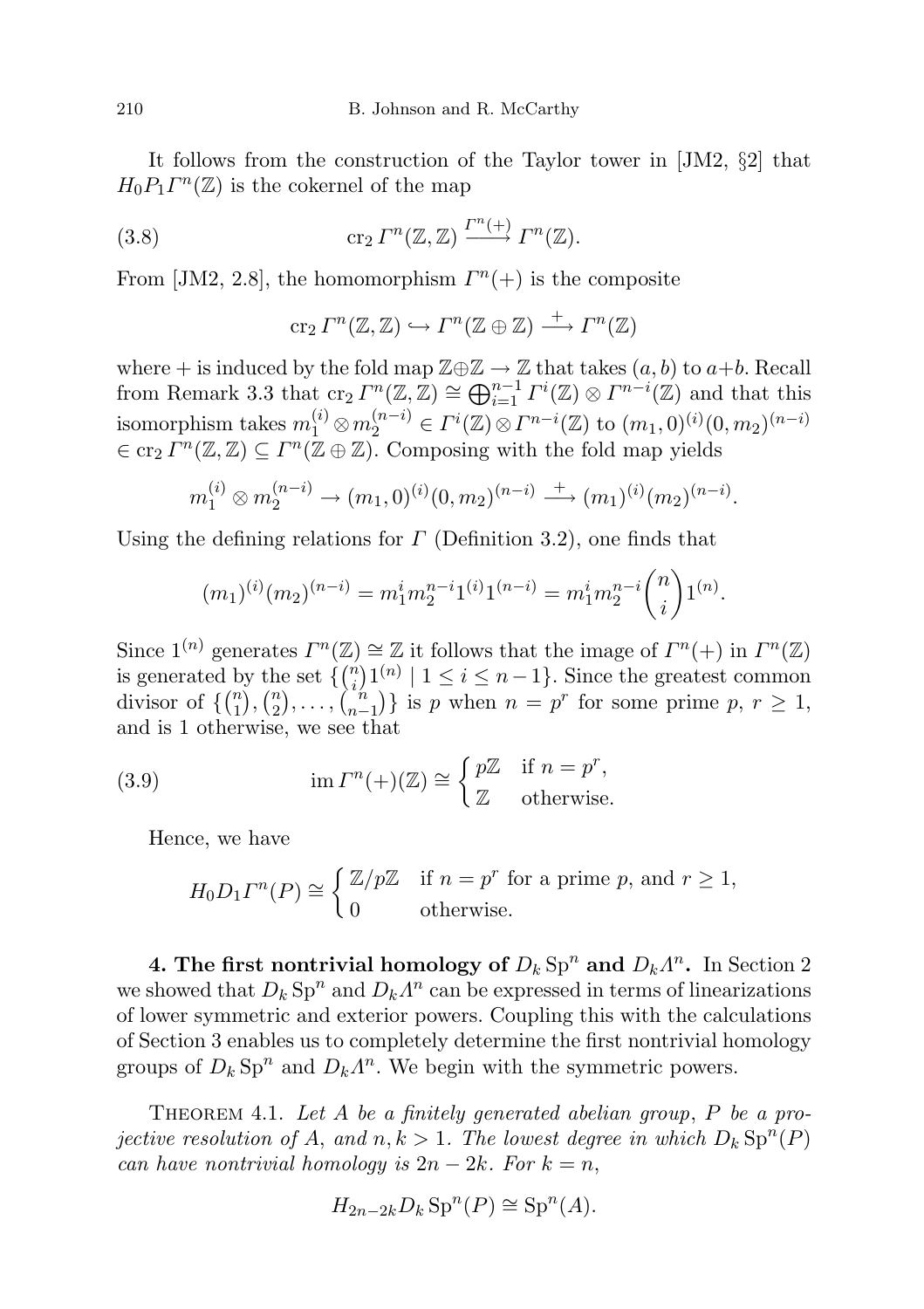It follows from the construction of the Taylor tower in [JM2, §2] that  $H_0 P_1 \Gamma^n(\mathbb{Z})$  is the cokernel of the map

(3.8) 
$$
\operatorname{cr}_2 \varGamma^n(\mathbb{Z}, \mathbb{Z}) \xrightarrow{\varGamma^n(+)} \varGamma^n(\mathbb{Z}).
$$

From [JM2, 2.8], the homomorphism  $\Gamma^{n}(+)$  is the composite

$$
\operatorname{cr}_2\varGamma^n(\mathbb{Z},\mathbb{Z})\hookrightarrow\varGamma^n(\mathbb{Z}\oplus\mathbb{Z})\stackrel{+}{\longrightarrow}\varGamma^n(\mathbb{Z})
$$

where + is induced by the fold map  $\mathbb{Z} \oplus \mathbb{Z} \to \mathbb{Z}$  that takes  $(a, b)$  to  $a+b$ . Recall from Remark 3.3 that  $\text{cr}_2 \Gamma^n(\mathbb{Z}, \mathbb{Z}) \cong \bigoplus_{i=1}^{n-1} \Gamma^i(\mathbb{Z}) \otimes \Gamma^{n-i}(\mathbb{Z})$  and that this isomorphism takes  $m_1^{(i)} \otimes m_2^{(n-i)} \in \Gamma^i(\mathbb{Z}) \otimes \Gamma^{n-i}(\mathbb{Z})$  to  $(m_1, 0)^{(i)}(0, m_2)^{(n-i)}$  $\in$  cr<sub>2</sub>  $\Gamma^n(\mathbb{Z}, \mathbb{Z}) \subseteq \Gamma^n(\mathbb{Z} \oplus \mathbb{Z})$ . Composing with the fold map yields

$$
m_1^{(i)} \otimes m_2^{(n-i)} \to (m_1, 0)^{(i)} (0, m_2)^{(n-i)} \xrightarrow{+} (m_1)^{(i)} (m_2)^{(n-i)}.
$$

Using the defining relations for  $\Gamma$  (Definition 3.2), one finds that

$$
(m_1)^{(i)}(m_2)^{(n-i)} = m_1^i m_2^{n-i} 1^{(i)} 1^{(n-i)} = m_1^i m_2^{n-i} {n \choose i} 1^{(n)}.
$$

Since  $1^{(n)}$  generates  $\Gamma^n(\mathbb{Z}) \cong \mathbb{Z}$  it follows that the image of  $\Gamma^n(+)$  in  $\Gamma^n(\mathbb{Z})$ is generated by the set  $\{n \choose i}$  $\binom{n}{i} 1^{(n)} \mid 1 \leq i \leq n-1$ . Since the greatest common divisor of  $\{ \binom{n}{1} \}$  $\binom{n}{1}, \binom{n}{2}$  $\binom{n}{2}, \ldots, \binom{n}{n-1}$  ${n \choose n-1}$  is p when  $n = p^r$  for some prime  $p, r \geq 1$ , and is 1 otherwise, we see that

(3.9) 
$$
\operatorname{im} \Gamma^{n}(+) (\mathbb{Z}) \cong \begin{cases} p\mathbb{Z} & \text{if } n = p^{r}, \\ \mathbb{Z} & \text{otherwise.} \end{cases}
$$

Hence, we have

$$
H_0 D_1 \Gamma^n(P) \cong \begin{cases} \mathbb{Z}/p\mathbb{Z} & \text{if } n = p^r \text{ for a prime } p \text{, and } r \ge 1, \\ 0 & \text{otherwise.} \end{cases}
$$

4. The first nontrivial homology of  $D_k$  Sp<sup>n</sup> and  $D_k \Lambda^n$ . In Section 2 we showed that  $D_k$  Sp<sup>n</sup> and  $D_k \Lambda^n$  can be expressed in terms of linearizations of lower symmetric and exterior powers. Coupling this with the calculations of Section 3 enables us to completely determine the first nontrivial homology groups of  $D_k$  Sp<sup>n</sup> and  $D_k A^n$ . We begin with the symmetric powers.

THEOREM 4.1. Let A be a finitely generated abelian group,  $P$  be a projective resolution of A, and  $n, k > 1$ . The lowest degree in which  $D_k \text{Sp}^n(P)$ can have nontrivial homology is  $2n - 2k$ . For  $k = n$ ,

$$
H_{2n-2k}D_k \operatorname{Sp}^n(P) \cong \operatorname{Sp}^n(A).
$$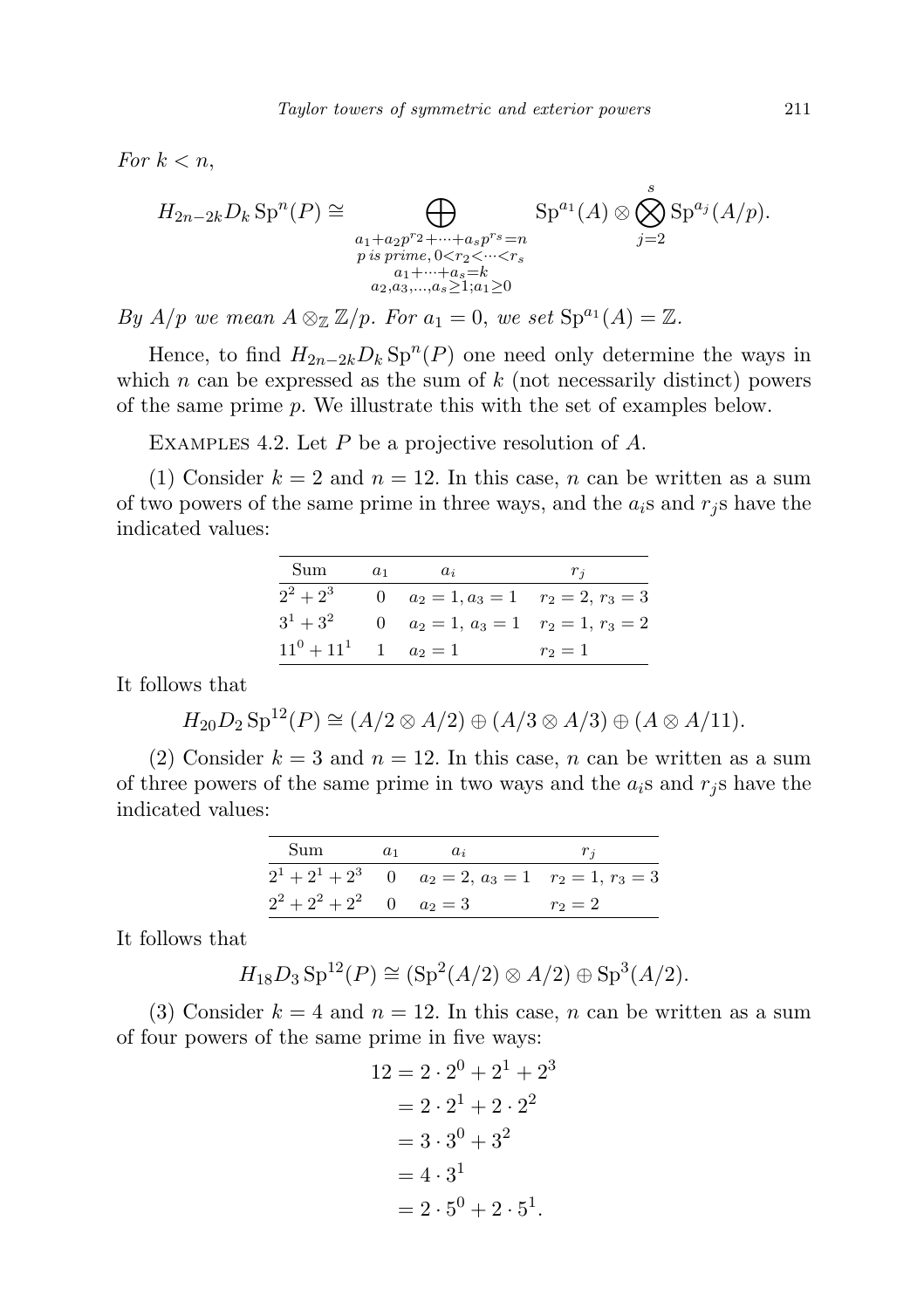For  $k < n$ ,

$$
H_{2n-2k}D_k \operatorname{Sp}^n(P) \cong \bigoplus_{\substack{a_1+a_2p^r2+\cdots+a_sp^{rs}=n\\p \text{ is prime}, 0 < r_2 < \cdots < r_s\\a_1+\cdots+a_s=k\\a_2,a_3,\ldots,a_s \ge 1; a_1 \ge 0}} \operatorname{Sp}^{a_1}(A) \otimes \bigotimes_{j=2}^s \operatorname{Sp}^{a_j}(A/p).
$$

By  $A/p$  we mean  $A \otimes_{\mathbb{Z}} \mathbb{Z}/p$ . For  $a_1 = 0$ , we set  $\text{Sp}^{a_1}(A) = \mathbb{Z}$ .

Hence, to find  $H_{2n-2k}D_k \text{Sp}^n(P)$  one need only determine the ways in which  $n$  can be expressed as the sum of  $k$  (not necessarily distinct) powers of the same prime p. We illustrate this with the set of examples below.

EXAMPLES 4.2. Let  $P$  be a projective resolution of  $A$ .

(1) Consider  $k = 2$  and  $n = 12$ . In this case, n can be written as a sum of two powers of the same prime in three ways, and the  $a_i$ s and  $r_j$ s have the indicated values:

| Sum           | $a_1$ | $a_i$                                   | $r_i$   |
|---------------|-------|-----------------------------------------|---------|
| $2^2+2^3$     |       | 0 $a_2 = 1, a_3 = 1$ $r_2 = 2, r_3 = 3$ |         |
| $3^1 + 3^2$   |       | 0 $a_2 = 1, a_3 = 1$ $r_2 = 1, r_3 = 2$ |         |
| $11^0 + 11^1$ |       | 1 $a_2 = 1$                             | $r_2=1$ |

It follows that

$$
H_{20}D_2 \,\mathrm{Sp}^{12}(P) \cong (A/2 \otimes A/2) \oplus (A/3 \otimes A/3) \oplus (A \otimes A/11).
$$

(2) Consider  $k = 3$  and  $n = 12$ . In this case, n can be written as a sum of three powers of the same prime in two ways and the  $a_i$ s and  $r_i$ s have the indicated values:

| Sum                             | $a_1$ | $a_i$                                                           |           |
|---------------------------------|-------|-----------------------------------------------------------------|-----------|
|                                 |       | $2^1 + 2^1 + 2^3$ 0 $a_2 = 2$ , $a_3 = 1$ $r_2 = 1$ , $r_3 = 3$ |           |
| $2^2 + 2^2 + 2^2 = 0$ $a_2 = 3$ |       |                                                                 | $r_2 = 2$ |

It follows that

$$
H_{18}D_3 \text{Sp}^{12}(P) \cong (\text{Sp}^2(A/2) \otimes A/2) \oplus \text{Sp}^3(A/2).
$$

(3) Consider  $k = 4$  and  $n = 12$ . In this case, n can be written as a sum of four powers of the same prime in five ways:

$$
12 = 2 \cdot 2^{0} + 2^{1} + 2^{3}
$$
  
= 2 \cdot 2^{1} + 2 \cdot 2^{2}  
= 3 \cdot 3^{0} + 3^{2}  
= 4 \cdot 3^{1}  
= 2 \cdot 5^{0} + 2 \cdot 5^{1}.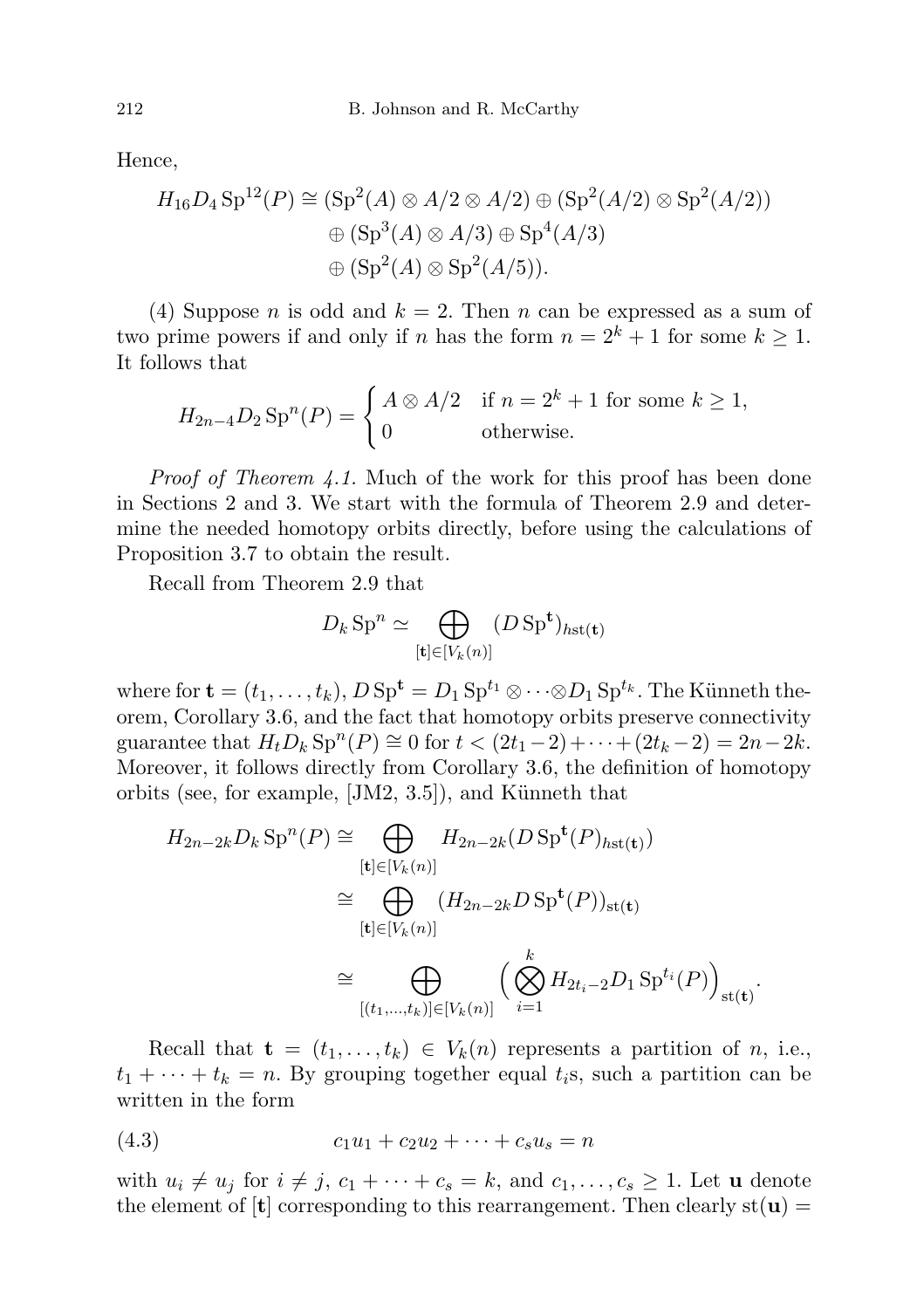Hence,

$$
H_{16}D_4 \text{Sp}^{12}(P) \cong (\text{Sp}^2(A) \otimes A/2 \otimes A/2) \oplus (\text{Sp}^2(A/2) \otimes \text{Sp}^2(A/2))
$$
  

$$
\oplus (\text{Sp}^3(A) \otimes A/3) \oplus \text{Sp}^4(A/3)
$$
  

$$
\oplus (\text{Sp}^2(A) \otimes \text{Sp}^2(A/5)).
$$

(4) Suppose *n* is odd and  $k = 2$ . Then *n* can be expressed as a sum of two prime powers if and only if n has the form  $n = 2<sup>k</sup> + 1$  for some  $k \ge 1$ . It follows that

$$
H_{2n-4}D_2 \operatorname{Sp}^n(P) = \begin{cases} A \otimes A/2 & \text{if } n = 2^k + 1 \text{ for some } k \ge 1, \\ 0 & \text{otherwise.} \end{cases}
$$

Proof of Theorem 4.1. Much of the work for this proof has been done in Sections 2 and 3. We start with the formula of Theorem 2.9 and determine the needed homotopy orbits directly, before using the calculations of Proposition 3.7 to obtain the result.

Recall from Theorem 2.9 that

$$
D_k \operatorname{Sp}^n \simeq \bigoplus_{[\mathbf{t}] \in [V_k(n)]} (D \operatorname{Sp}^{\mathbf{t}})_{h \operatorname{st}(\mathbf{t})}
$$

where for  $\mathbf{t} = (t_1, \ldots, t_k)$ ,  $D \text{ Sp}^{\mathbf{t}} = D_1 \text{ Sp}^{t_1} \otimes \cdots \otimes D_1 \text{ Sp}^{t_k}$ . The Künneth theorem, Corollary 3.6, and the fact that homotopy orbits preserve connectivity guarantee that  $H_t D_k$  Sp<sup>n</sup> $(P) \cong 0$  for  $t < (2t_1 - 2) + \cdots + (2t_k - 2) = 2n - 2k$ . Moreover, it follows directly from Corollary 3.6, the definition of homotopy orbits (see, for example,  $[JM2, 3.5]$ ), and Künneth that

$$
H_{2n-2k}D_k \operatorname{Sp}^n(P) \cong \bigoplus_{[\mathbf{t}]\in [V_k(n)]} H_{2n-2k}(D \operatorname{Sp}^{\mathbf{t}}(P)_{h\mathbf{st}(\mathbf{t})})
$$
  
\n
$$
\cong \bigoplus_{[\mathbf{t}]\in [V_k(n)]} (H_{2n-2k}D \operatorname{Sp}^{\mathbf{t}}(P))_{\mathbf{st}(\mathbf{t})}
$$
  
\n
$$
\cong \bigoplus_{[(t_1,\ldots,t_k)]\in [V_k(n)]} \left(\bigotimes_{i=1}^k H_{2t_i-2}D_1 \operatorname{Sp}^{t_i}(P)\right)_{\mathbf{st}(\mathbf{t})}.
$$

Recall that  $\mathbf{t} = (t_1, \ldots, t_k) \in V_k(n)$  represents a partition of n, i.e.,  $t_1 + \cdots + t_k = n$ . By grouping together equal  $t_i$ s, such a partition can be written in the form

$$
(4.3) \t\t c_1u_1 + c_2u_2 + \cdots + c_su_s = n
$$

with  $u_i \neq u_j$  for  $i \neq j$ ,  $c_1 + \cdots + c_s = k$ , and  $c_1, \ldots, c_s \geq 1$ . Let **u** denote the element of  $[t]$  corresponding to this rearrangement. Then clearly st( $\mathbf{u}$ ) =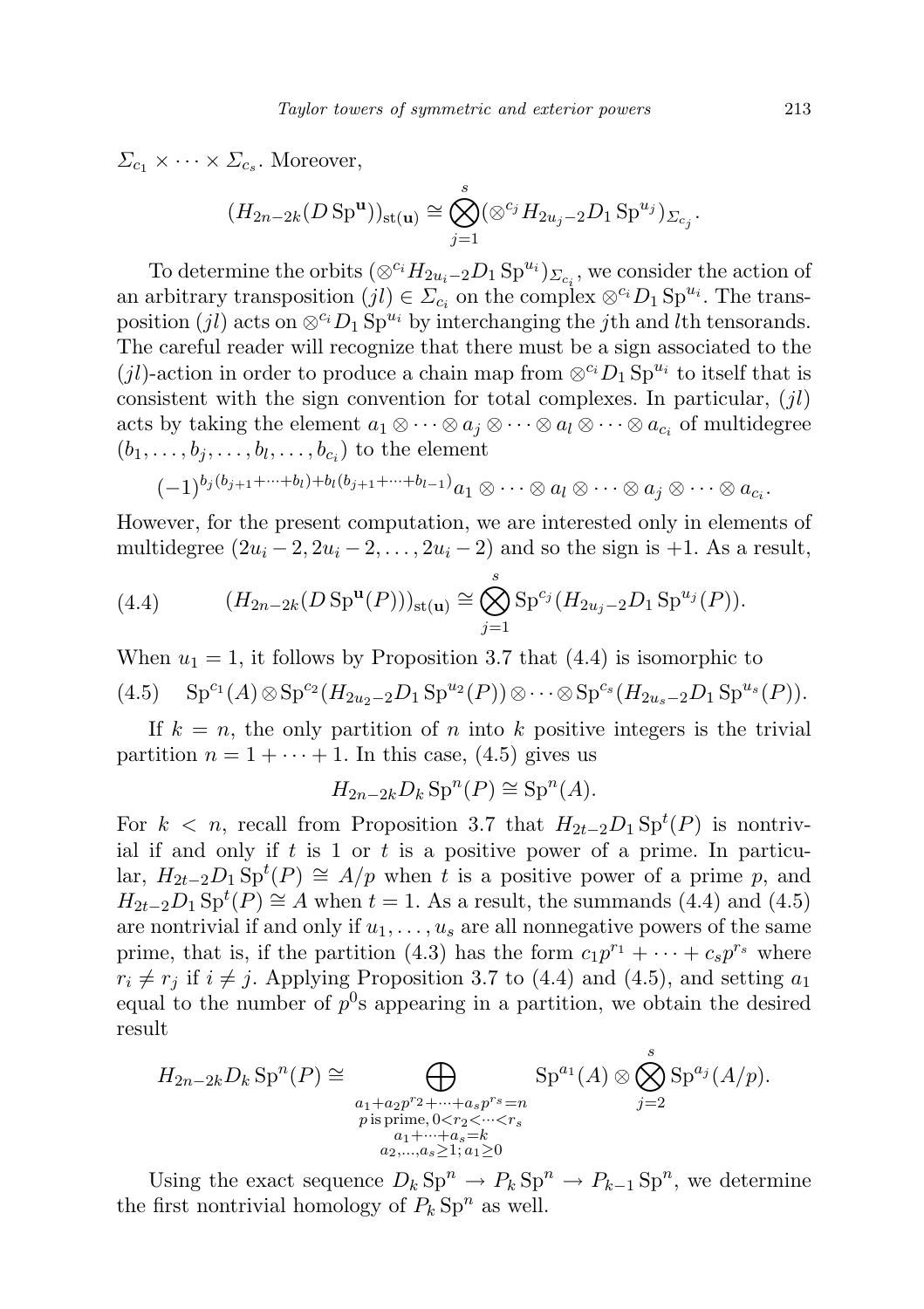$\Sigma_{c_1} \times \cdots \times \Sigma_{c_s}$ . Moreover,

$$
(H_{2n-2k}(D\,\mathrm{Sp}^\mathbf{u}))_{\mathrm{st}(\mathbf{u})}\cong\bigotimes_{j=1}^s(\otimes^{c_j}H_{2u_j-2}D_1\,\mathrm{Sp}^{u_j})_{\Sigma_{c_j}}.
$$

To determine the orbits  $(\otimes^{c_i} H_{2u_i-2}D_1 \text{ Sp}^{u_i})_{\Sigma_{c_i}}$ , we consider the action of an arbitrary transposition  $(jl) \in \Sigma_{c_i}$  on the complex  $\otimes^{c_i} D_1 \text{Sp}^{u_i}$ . The transposition (jl) acts on  $\otimes^{c_i} D_1 \text{Sp}^{u_i}$  by interchanging the jth and lth tensorands. The careful reader will recognize that there must be a sign associated to the (jl)-action in order to produce a chain map from  $\otimes^{c_i} D_1 \text{Sp}^{u_i}$  to itself that is consistent with the sign convention for total complexes. In particular,  $(jl)$ acts by taking the element  $a_1 \otimes \cdots \otimes a_j \otimes \cdots \otimes a_l \otimes \cdots \otimes a_{c_i}$  of multidegree  $(b_1, \ldots, b_j, \ldots, b_l, \ldots, b_{c_i})$  to the element

$$
(-1)^{b_j(b_{j+1}+\cdots+b_l)+b_l(b_{j+1}+\cdots+b_{l-1})}a_1\otimes\cdots\otimes a_l\otimes\cdots\otimes a_j\otimes\cdots\otimes a_{c_i}.
$$

However, for the present computation, we are interested only in elements of multidegree  $(2u_i - 2, 2u_i - 2, \ldots, 2u_i - 2)$  and so the sign is +1. As a result,

(4.4) 
$$
(H_{2n-2k}(D \text{ Sp}^{\mathbf{u}}(P)))_{\text{st}(\mathbf{u})} \cong \bigotimes_{j=1}^{s} \text{Sp}^{c_j}(H_{2u_j-2}D_1 \text{Sp}^{u_j}(P)).
$$

When  $u_1 = 1$ , it follows by Proposition 3.7 that (4.4) is isomorphic to

$$
(4.5) \tSpc1(A) \otimes Spc2(H2u2-2D1 Spu2(P)) \otimes \cdots \otimes Spcs(H2us-2D1 Spus(P)).
$$

If  $k = n$ , the only partition of n into k positive integers is the trivial partition  $n = 1 + \cdots + 1$ . In this case, (4.5) gives us

$$
H_{2n-2k}D_k \operatorname{Sp}^n(P) \cong \operatorname{Sp}^n(A).
$$

For  $k < n$ , recall from Proposition 3.7 that  $H_{2t-2}D_1 \text{Sp}^t(P)$  is nontrivial if and only if  $t$  is 1 or  $t$  is a positive power of a prime. In particular,  $H_{2t-2}D_1 \text{Sp}^t(P) \cong A/p$  when t is a positive power of a prime p, and  $H_{2t-2}D_1 \text{Sp}^t(P) \cong A$  when  $t = 1$ . As a result, the summands (4.4) and (4.5) are nontrivial if and only if  $u_1, \ldots, u_s$  are all nonnegative powers of the same prime, that is, if the partition (4.3) has the form  $c_1p^{r_1} + \cdots + c_sp^{r_s}$  where  $r_i \neq r_j$  if  $i \neq j$ . Applying Proposition 3.7 to (4.4) and (4.5), and setting  $a_1$ equal to the number of  $p^0$ s appearing in a partition, we obtain the desired result

$$
H_{2n-2k}D_k \operatorname{Sp}^n(P) \cong \bigoplus_{\substack{a_1+a_2p^{r_2}+\cdots+a_sp^{rs}=n\\p \text{ is prime}, 0 < r_2 < \cdots < r_s\\a_1+\cdots+a_s=k\\a_2,\ldots,a_s \ge 1; a_1 \ge 0}} \operatorname{Sp}^{a_1}(A) \otimes \bigotimes_{j=2}^s \operatorname{Sp}^{a_j}(A/p).
$$

Using the exact sequence  $D_k \text{Sp}^n \to P_k \text{Sp}^n \to P_{k-1} \text{Sp}^n$ , we determine the first nontrivial homology of  $P_k \text{Sp}^n$  as well.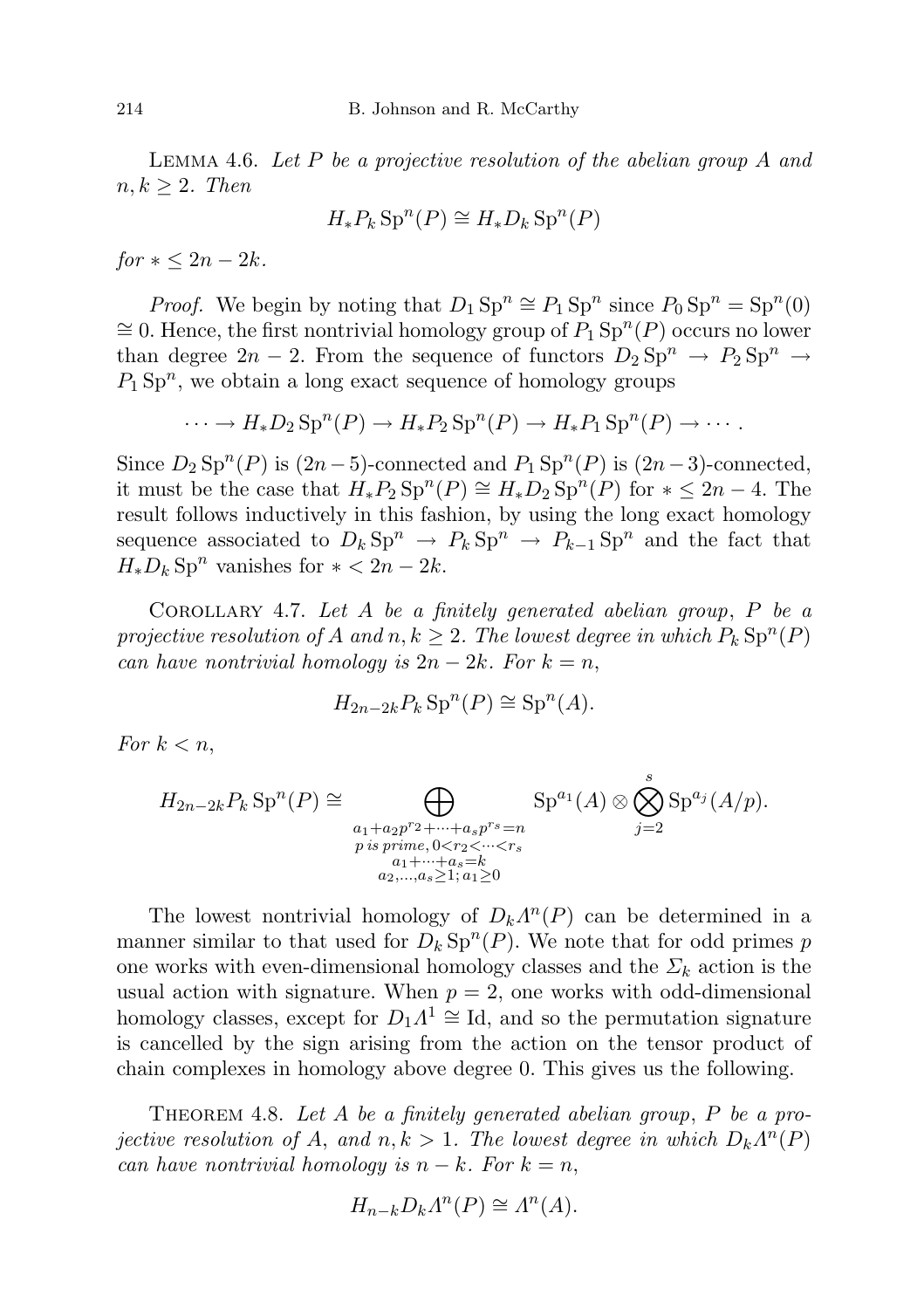LEMMA 4.6. Let  $P$  be a projective resolution of the abelian group  $A$  and  $n, k \geq 2$ . Then

$$
H_*P_k\operatorname{Sp}^n(P)\cong H_*D_k\operatorname{Sp}^n(P)
$$

 $for  $k < 2n - 2k$ .$ 

*Proof.* We begin by noting that  $D_1 \text{Sp}^n \cong P_1 \text{Sp}^n$  since  $P_0 \text{Sp}^n = \text{Sp}^n(0)$ ≅ 0. Hence, the first nontrivial homology group of  $P_1$  Sp<sup>n</sup>(P) occurs no lower than degree  $2n - 2$ . From the sequence of functors  $D_2 \text{Sp}^n \rightarrow P_2 \text{Sp}^n \rightarrow$  $P_1$  Sp<sup>n</sup>, we obtain a long exact sequence of homology groups

 $\cdots \rightarrow H_*D_2 \text{Sp}^n(P) \rightarrow H_*P_2 \text{Sp}^n(P) \rightarrow H_*P_1 \text{Sp}^n(P) \rightarrow \cdots$ 

Since  $D_2$  Sp<sup>n</sup>(P) is  $(2n-5)$ -connected and  $P_1$  Sp<sup>n</sup>(P) is  $(2n-3)$ -connected, it must be the case that  $H_*P_2 \text{Sp}^n(P) \cong H_*D_2 \text{Sp}^n(P)$  for  $* \leq 2n-4$ . The result follows inductively in this fashion, by using the long exact homology sequence associated to  $D_k \text{Sp}^n \to P_k \text{Sp}^n \to P_{k-1} \text{Sp}^n$  and the fact that  $H_*D_k$  Sp<sup>n</sup> vanishes for  $* < 2n - 2k$ .

COROLLARY 4.7. Let A be a finitely generated abelian group,  $P$  be a projective resolution of A and  $n, k \geq 2$ . The lowest degree in which  $P_k \text{Sp}^n(P)$ can have nontrivial homology is  $2n - 2k$ . For  $k = n$ ,

$$
H_{2n-2k}P_k \operatorname{Sp}^n(P) \cong \operatorname{Sp}^n(A).
$$

For  $k < n$ ,

$$
H_{2n-2k}P_k \operatorname{Sp}^n(P) \cong \bigoplus_{\substack{a_1+a_2p^{r_2}+\cdots+a_sp^{rs}=n\\p \text{ is prime}, 0 < r_2 < \cdots < r_s\\a_1+\cdots+a_s=k\\a_2,\ldots,a_s \ge 1; a_1 \ge 0}} \operatorname{Sp}^{a_1}(A) \otimes \bigotimes_{j=2}^s \operatorname{Sp}^{a_j}(A/p).
$$

The lowest nontrivial homology of  $D_k\Lambda^n(P)$  can be determined in a manner similar to that used for  $D_k \text{Sp}^n(P)$ . We note that for odd primes p one works with even-dimensional homology classes and the  $\Sigma_k$  action is the usual action with signature. When  $p = 2$ , one works with odd-dimensional homology classes, except for  $D_1 \Lambda^1 \cong \text{Id}$ , and so the permutation signature is cancelled by the sign arising from the action on the tensor product of chain complexes in homology above degree 0. This gives us the following.

THEOREM 4.8. Let A be a finitely generated abelian group,  $P$  be a projective resolution of A, and  $n, k > 1$ . The lowest degree in which  $D_k \Lambda^n(P)$ can have nontrivial homology is  $n - k$ . For  $k = n$ ,

$$
H_{n-k}D_k\Lambda^n(P) \cong \Lambda^n(A).
$$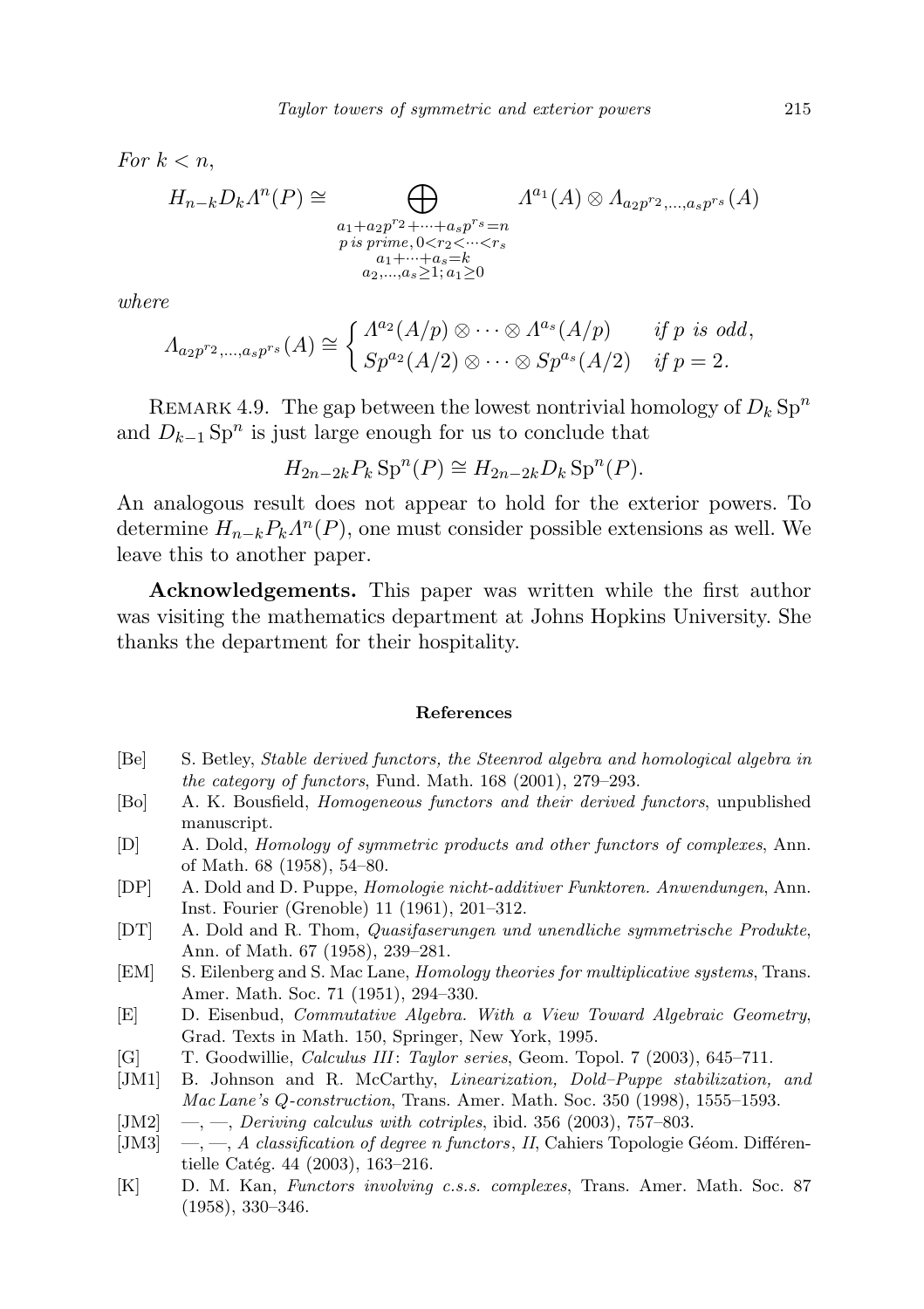For 
$$
k < n
$$
,  
\n
$$
H_{n-k}D_k\Lambda^n(P) \cong \bigoplus_{\substack{a_1+a_2p^r2+\cdots+a_sp^rs=n\\p\text{ is prime}, 0 < r_2 < \cdots < r_s\\a_1+\cdots+a_s=k\\a_2,\ldots,a_s \ge 1; a_1 \ge 0}} \Lambda^{a_1}(A) \otimes \Lambda_{a_2p^r2,\ldots,a_sp^{rs}}(A)
$$

where

$$
\Lambda_{a_2p^{r_2},...,a_sp^{r_s}}(A) \cong \begin{cases} \Lambda^{a_2}(A/p) \otimes \cdots \otimes \Lambda^{a_s}(A/p) & \text{if } p \text{ is odd,} \\ Sp^{a_2}(A/2) \otimes \cdots \otimes Sp^{a_s}(A/2) & \text{if } p = 2. \end{cases}
$$

REMARK 4.9. The gap between the lowest nontrivial homology of  $D_k$  Sp<sup>n</sup> and  $D_{k-1}$  Sp<sup>n</sup> is just large enough for us to conclude that

$$
H_{2n-2k}P_k \mathrm{Sp}^n(P) \cong H_{2n-2k}D_k \mathrm{Sp}^n(P).
$$

An analogous result does not appear to hold for the exterior powers. To determine  $H_{n-k}P_k\Lambda^n(P)$ , one must consider possible extensions as well. We leave this to another paper.

Acknowledgements. This paper was written while the first author was visiting the mathematics department at Johns Hopkins University. She thanks the department for their hospitality.

## References

- [Be] S. Betley, Stable derived functors, the Steenrod algebra and homological algebra in the category of functors, Fund. Math. 168 (2001), 279–293.
- [Bo] A. K. Bousfield, Homogeneous functors and their derived functors, unpublished manuscript.
- [D] A. Dold, Homology of symmetric products and other functors of complexes, Ann. of Math. 68 (1958), 54–80.
- [DP] A. Dold and D. Puppe, Homologie nicht-additiver Funktoren. Anwendungen, Ann. Inst. Fourier (Grenoble) 11 (1961), 201–312.
- [DT] A. Dold and R. Thom, Quasifaserungen und unendliche symmetrische Produkte, Ann. of Math. 67 (1958), 239–281.
- [EM] S. Eilenberg and S. Mac Lane, Homology theories for multiplicative systems, Trans. Amer. Math. Soc. 71 (1951), 294–330.
- [E] D. Eisenbud, Commutative Algebra. With a View Toward Algebraic Geometry, Grad. Texts in Math. 150, Springer, New York, 1995.
- [G] T. Goodwillie, Calculus III: Taylor series, Geom. Topol. 7 (2003), 645–711.
- [JM1] B. Johnson and R. McCarthy, Linearization, Dold–Puppe stabilization, and Mac Lane's Q-construction, Trans. Amer. Math. Soc. 350 (1998), 1555–1593.
- [JM2]  $\quad$ ,  $\quad$ ,  $\quad$  Deriving calculus with cotriples, ibid. 356 (2003), 757–803.
- [JM3]  $\left(-,-\right), A$  classification of degree n functors, II, Cahiers Topologie Géom. Différentielle Catég. 44 (2003), 163–216.
- [K] D. M. Kan, Functors involving c.s.s. complexes, Trans. Amer. Math. Soc. 87 (1958), 330–346.